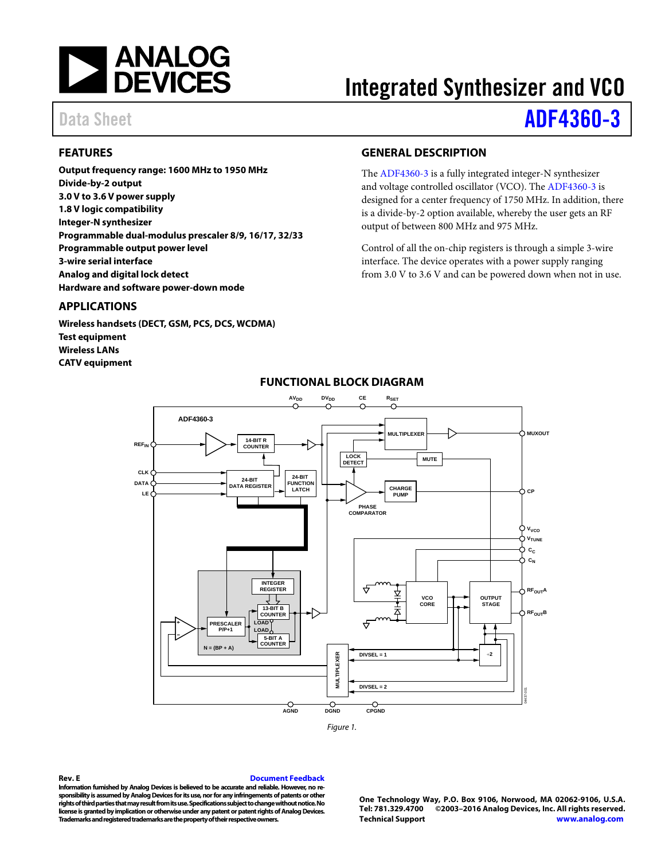

# Integrated Synthesizer and VCO

### Data Sheet **[ADF4360-3](http://www.analog.com/ADF4360-3?doc=ADF4360-3.pdf)**

#### <span id="page-0-0"></span>**FEATURES**

**Output frequency range: 1600 MHz to 1950 MHz Divide-by-2 output 3.0 V to 3.6 V power supply 1.8 V logic compatibility Integer-N synthesizer Programmable dual-modulus prescaler 8/9, 16/17, 32/33 Programmable output power level 3-wire serial interface Analog and digital lock detect Hardware and software power-down mode**

#### <span id="page-0-1"></span>**APPLICATIONS**

<span id="page-0-3"></span>**Wireless handsets (DECT, GSM, PCS, DCS, WCDMA) Test equipment Wireless LANs CATV equipment**

#### <span id="page-0-2"></span>**GENERAL DESCRIPTION**

The [ADF4360-3](http://www.analog.com/ADF4360-3?doc=ADF4360-3.pdf) is a fully integrated integer-N synthesizer and voltage controlled oscillator (VCO). Th[e ADF4360-3](http://www.analog.com/ADF4360-3?doc=ADF4360-3.pdf) is designed for a center frequency of 1750 MHz. In addition, there is a divide-by-2 option available, whereby the user gets an RF output of between 800 MHz and 975 MHz.

Control of all the on-chip registers is through a simple 3-wire interface. The device operates with a power supply ranging from 3.0 V to 3.6 V and can be powered down when not in use.



#### **FUNCTIONAL BLOCK DIAGRAM**

**Rev. E [Document Feedback](https://form.analog.com/Form_Pages/feedback/documentfeedback.aspx?doc=%20ADF4360-3.pdf&page=%201&product=ADF4360-3&rev=E)**

**Information furnished by Analog Devices is believed to be accurate and reliable. However, no responsibility is assumed by Analog Devices for its use, nor for any infringements of patents or other rights of third parties that may result from its use. Specifications subject to change without notice. No license is granted by implication or otherwise under any patent or patent rights of Analog Devices. Trademarks and registered trademarks are the property of their respective owners.**

**One Technology Way, P.O. Box 9106, Norwood, MA 02062-9106, U.S.A. Tel: 781.329.4700 ©2003–2016 Analog Devices, Inc. All rights reserved. [Technical Support](http://www.analog.com/en/content/technical_support_page/fca.html) [www.analog.com](http://www.analog.com/)**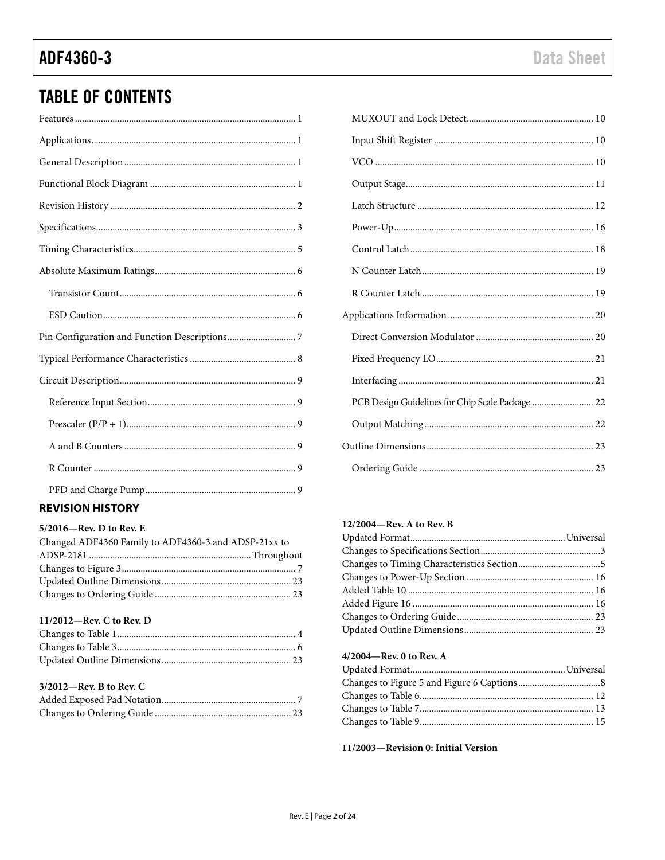### **TABLE OF CONTENTS**

### <span id="page-1-0"></span>**REVISION HISTORY**

#### 5/2016-Rev. D to Rev. E

| Changed ADF4360 Family to ADF4360-3 and ADSP-21xx to |  |
|------------------------------------------------------|--|
|                                                      |  |
|                                                      |  |
|                                                      |  |
|                                                      |  |
|                                                      |  |

#### 11/2012-Rev. C to Rev. D

#### 3/2012-Rev. B to Rev. C

| PCB Design Guidelines for Chip Scale Package 22 |  |
|-------------------------------------------------|--|
|                                                 |  |
|                                                 |  |
|                                                 |  |

#### 12/2004-Rev. A to Rev. B

#### 4/2004-Rev. 0 to Rev. A

11/2003-Revision 0: Initial Version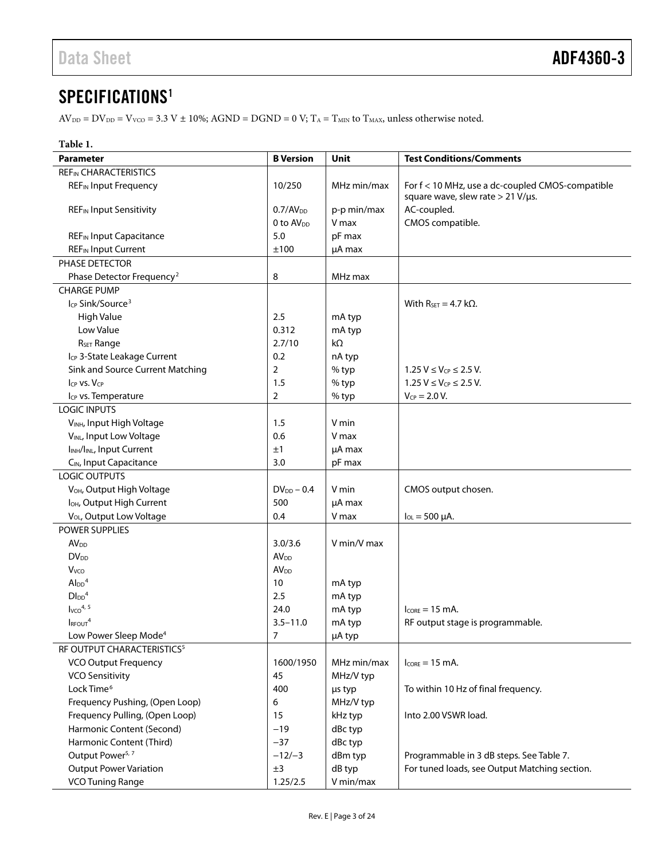### <span id="page-2-0"></span>SPECIFICATIONS<sup>1</sup>

 $\text{AV}_{\text{DD}} = \text{DV}_{\text{DD}} = \text{V}_{\text{VCO}} = 3.3 \text{ V} \pm 10\%; \text{AGND} = \text{DGND} = 0 \text{ V}; \text{T}_\text{A} = \text{T}_{\text{MIN}} \text{ to } \text{T}_{\text{MAX}}$  unless otherwise noted.

| Table 1.                                           |                        |             |                                                                                               |
|----------------------------------------------------|------------------------|-------------|-----------------------------------------------------------------------------------------------|
| Parameter                                          | <b>B</b> Version       | Unit        | <b>Test Conditions/Comments</b>                                                               |
| <b>REFIN CHARACTERISTICS</b>                       |                        |             |                                                                                               |
| <b>REF<sub>IN</sub></b> Input Frequency            | 10/250                 | MHz min/max | For f < 10 MHz, use a dc-coupled CMOS-compatible<br>square wave, slew rate $> 21$ V/ $\mu$ s. |
| <b>REF<sub>IN</sub></b> Input Sensitivity          | 0.7/AV <sub>DD</sub>   | p-p min/max | AC-coupled.                                                                                   |
|                                                    | 0 to AV <sub>pp</sub>  | V max       | CMOS compatible.                                                                              |
| <b>REF<sub>IN</sub></b> Input Capacitance          | 5.0                    | pF max      |                                                                                               |
| <b>REF<sub>IN</sub></b> Input Current              | ±100                   | µA max      |                                                                                               |
| PHASE DETECTOR                                     |                        |             |                                                                                               |
| Phase Detector Frequency <sup>2</sup>              | 8                      | MHz max     |                                                                                               |
| <b>CHARGE PUMP</b>                                 |                        |             |                                                                                               |
| I <sub>CP</sub> Sink/Source <sup>3</sup>           |                        |             | With $R_{SET} = 4.7$ k $\Omega$ .                                                             |
| High Value                                         | 2.5                    | mA typ      |                                                                                               |
| Low Value                                          | 0.312                  | mA typ      |                                                                                               |
| R <sub>SET</sub> Range                             | 2.7/10                 | kΩ          |                                                                                               |
| I <sub>CP</sub> 3-State Leakage Current            | 0.2                    | nA typ      |                                                                                               |
| Sink and Source Current Matching                   | $\overline{2}$         | % typ       | $1.25 V \le V_{CP} \le 2.5 V$ .                                                               |
| ICP VS. VCP                                        | 1.5                    | % typ       | 1.25 $V \leq V_{CP} \leq 2.5 V$ .                                                             |
| Icp vs. Temperature                                | 2                      | % typ       | $V_{CP} = 2.0 V.$                                                                             |
| <b>LOGIC INPUTS</b>                                |                        |             |                                                                                               |
| VINH, Input High Voltage                           | 1.5                    | V min       |                                                                                               |
| VINL, Input Low Voltage                            | 0.6                    | V max       |                                                                                               |
| I <sub>INH</sub> /I <sub>INL</sub> , Input Current | ±1                     | µA max      |                                                                                               |
| C <sub>IN</sub> , Input Capacitance                | 3.0                    | pF max      |                                                                                               |
| LOGIC OUTPUTS                                      |                        |             |                                                                                               |
| V <sub>OH</sub> , Output High Voltage              | $DV_{DD} - 0.4$        | V min       | CMOS output chosen.                                                                           |
| I <sub>OH</sub> , Output High Current              | 500                    | µA max      |                                                                                               |
| V <sub>OL</sub> , Output Low Voltage               | 0.4                    | V max       | $I_{OL} = 500 \mu A$ .                                                                        |
| POWER SUPPLIES                                     |                        |             |                                                                                               |
| <b>AV<sub>DD</sub></b>                             | 3.0/3.6                | V min/V max |                                                                                               |
| <b>DV<sub>DD</sub></b>                             | <b>AV<sub>DD</sub></b> |             |                                                                                               |
| Vvco                                               | AV <sub>DD</sub>       |             |                                                                                               |
| $Al_{DD}$ <sup>4</sup>                             | 10                     | mA typ      |                                                                                               |
| $D\text{IDD}^4$                                    | 2.5                    | mA typ      |                                                                                               |
| $I_{VCO}$ <sup>4, 5</sup>                          | 24.0                   | mA typ      | $I_{CORF} = 15$ mA.                                                                           |
| I <sub>RFOUT</sub> <sup>4</sup>                    | $3.5 - 11.0$           | mA typ      | RF output stage is programmable.                                                              |
| Low Power Sleep Mode <sup>4</sup>                  | $\overline{7}$         | µA typ      |                                                                                               |
| RF OUTPUT CHARACTERISTICS <sup>5</sup>             |                        |             |                                                                                               |
| <b>VCO Output Frequency</b>                        | 1600/1950              | MHz min/max | $I_{CORE} = 15$ mA.                                                                           |
| <b>VCO Sensitivity</b>                             | 45                     | MHz/V typ   |                                                                                               |
| Lock Time <sup>6</sup>                             | 400                    | µs typ      | To within 10 Hz of final frequency.                                                           |
| Frequency Pushing, (Open Loop)                     | 6                      | MHz/V typ   |                                                                                               |
| Frequency Pulling, (Open Loop)                     | 15                     | kHz typ     | Into 2.00 VSWR load.                                                                          |
| Harmonic Content (Second)                          | $-19$                  | dBc typ     |                                                                                               |
| Harmonic Content (Third)                           | $-37$                  | dBc typ     |                                                                                               |
| Output Power <sup>5, 7</sup>                       | $-12/-3$               | dBm typ     | Programmable in 3 dB steps. See Table 7.                                                      |
| <b>Output Power Variation</b>                      | ±3                     | dB typ      | For tuned loads, see Output Matching section.                                                 |
| <b>VCO Tuning Range</b>                            | 1.25/2.5               | V min/max   |                                                                                               |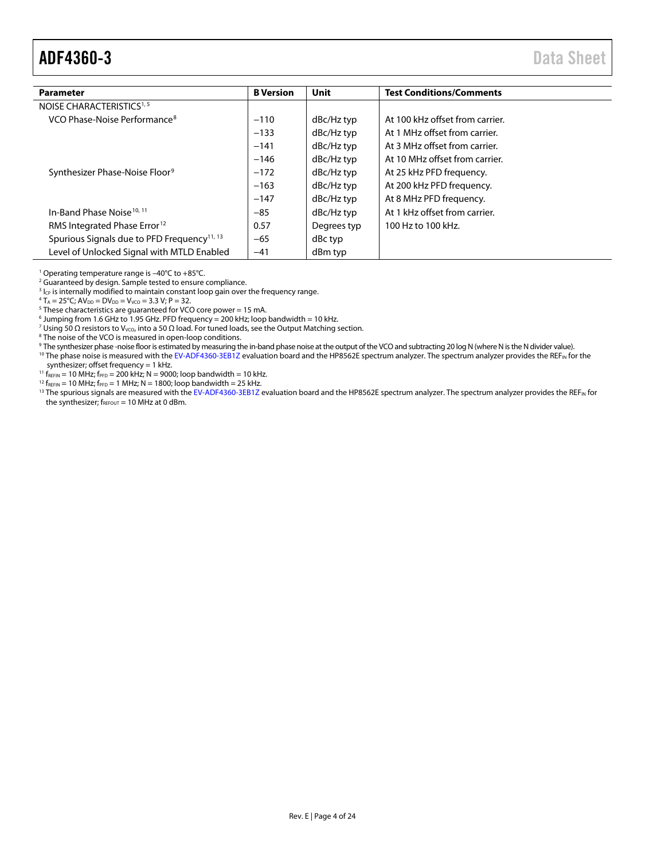### <span id="page-3-0"></span>ADF4360-3 Data Sheet

| <b>Parameter</b>                                        | <b>B</b> Version | <b>Unit</b> | <b>Test Conditions/Comments</b> |
|---------------------------------------------------------|------------------|-------------|---------------------------------|
| NOISE CHARACTERISTICS <sup>1, 5</sup>                   |                  |             |                                 |
| VCO Phase-Noise Performance <sup>8</sup>                | $-110$           | dBc/Hz typ  | At 100 kHz offset from carrier. |
|                                                         | $-133$           | dBc/Hz typ  | At 1 MHz offset from carrier.   |
|                                                         | $-141$           | dBc/Hz typ  | At 3 MHz offset from carrier.   |
|                                                         | $-146$           | dBc/Hz typ  | At 10 MHz offset from carrier.  |
| Synthesizer Phase-Noise Floor <sup>9</sup>              | $-172$           | dBc/Hz typ  | At 25 kHz PFD frequency.        |
|                                                         | $-163$           | dBc/Hz typ  | At 200 kHz PFD frequency.       |
|                                                         | $-147$           | dBc/Hz typ  | At 8 MHz PFD frequency.         |
| In-Band Phase Noise <sup>10, 11</sup>                   | $-85$            | dBc/Hz typ  | At 1 kHz offset from carrier.   |
| RMS Integrated Phase Error <sup>12</sup>                | 0.57             | Degrees typ | 100 Hz to 100 kHz.              |
| Spurious Signals due to PFD Frequency <sup>11, 13</sup> | $-65$            | dBc typ     |                                 |
| Level of Unlocked Signal with MTLD Enabled              | $-41$            | dBm typ     |                                 |

<sup>1</sup> Operating temperature range is  $-40^{\circ}$ C to  $+85^{\circ}$ C.<br><sup>2</sup> Guaranteed by design. Sample tested to ensure compliance.

 $3$  I<sub>CP</sub> is internally modified to maintain constant loop gain over the frequency range.

 $4 T_A = 25^{\circ}$ C; A $V_{DD} = DV_{DD} = V_{VCO} = 3.3 V$ ; P = 32.

 $5$  These characteristics are guaranteed for VCO core power = 15 mA.

 $6$  Jumping from 1.6 GHz to 1.95 GHz. PFD frequency = 200 kHz; loop bandwidth = 10 kHz.

<sup>7</sup> Using 50 Ω resistors to V<sub>VCO</sub>, into a 50 Ω load. For tuned loads, see th[e Output Matching](#page-21-1) section.

<sup>8</sup> The noise of the VCO is measured in open-loop conditions.

- 9 The synthesizer phase -noise floor is estimated by measuring the in-band phase noise at the output of the VCO and subtracting 20 log N (where N is the N divider value).
- <sup>10</sup> The phase noise is measured with th[e EV-ADF4360-3EB1Z](http://www.analog.com/ADF4360-3?doc=ADF4360-3.pdf) evaluation board and the HP8562E spectrum analyzer. The spectrum analyzer provides the REF<sub>IN</sub> for the synthesizer; offset frequency = 1 kHz.
- $^{11}$  f<sub>REFIN</sub> = 10 MHz; f<sub>PFD</sub> = 200 kHz; N = 9000; loop bandwidth = 10 kHz.

 $12 f_{REFIN} = 10 MHz$ ; f $_{PFD} = 1 MHz$ ; N = 1800; loop bandwidth = 25 kHz.

<sup>13</sup> The spurious signals are measured with th[e EV-ADF4360-3EB1Z](http://www.analog.com/ADF4360-3?doc=ADF4360-3.pdf) evaluation board and the HP8562E spectrum analyzer. The spectrum analyzer provides the REF<sub>IN</sub> for the synthesizer;  $f_{\text{REFOUT}} = 10 \text{ MHz at } 0 \text{ dBm}$ .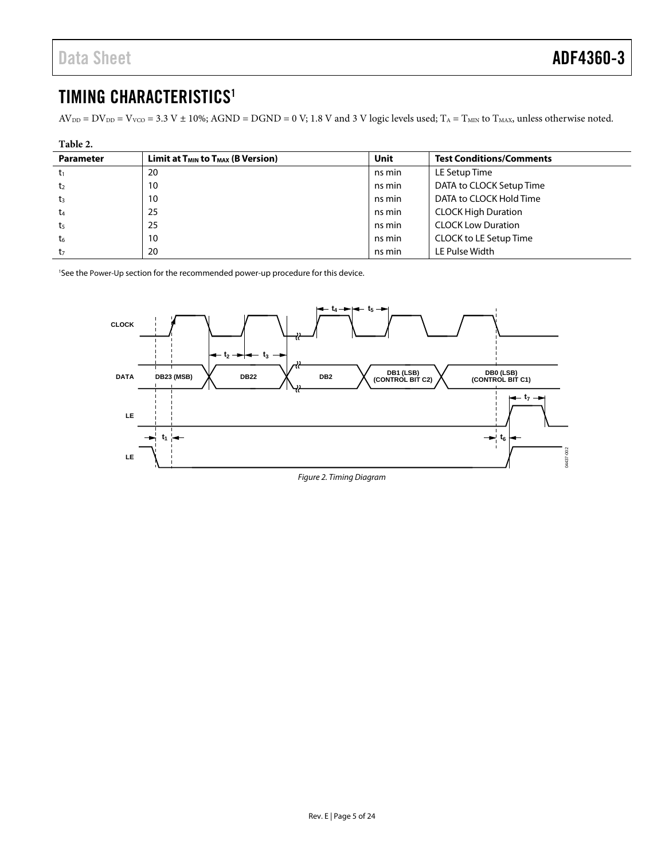### <span id="page-4-0"></span>TIMING CHARACTERISTICS<sup>1</sup>

 $AV_{DD} = DV_{DD} = V_{VCO} = 3.3 V \pm 10\%$ ; AGND = DGND = 0 V; 1.8 V and 3 V logic levels used; T<sub>A</sub> = T<sub>MIN</sub> to T<sub>MAX</sub>, unless otherwise noted.

| Table 2.         |                                                           |        |                                 |  |
|------------------|-----------------------------------------------------------|--------|---------------------------------|--|
| <b>Parameter</b> | Limit at T <sub>MIN</sub> to T <sub>MAX</sub> (B Version) | Unit   | <b>Test Conditions/Comments</b> |  |
| t1               | 20                                                        | ns min | LE Setup Time                   |  |
| t <sub>2</sub>   | 10                                                        | ns min | DATA to CLOCK Setup Time        |  |
| t <sub>3</sub>   | 10                                                        | ns min | DATA to CLOCK Hold Time         |  |
| t <sub>4</sub>   | 25                                                        | ns min | <b>CLOCK High Duration</b>      |  |
| t <sub>5</sub>   | 25                                                        | ns min | <b>CLOCK Low Duration</b>       |  |
| t <sub>6</sub>   | 10                                                        | ns min | CLOCK to LE Setup Time          |  |
| t,               | 20                                                        | ns min | LE Pulse Width                  |  |

<sup>1</sup>See th[e Power-Up s](#page-15-0)ection for the recommended power-up procedure for this device.

<span id="page-4-1"></span>

Figure 2. Timing Diagram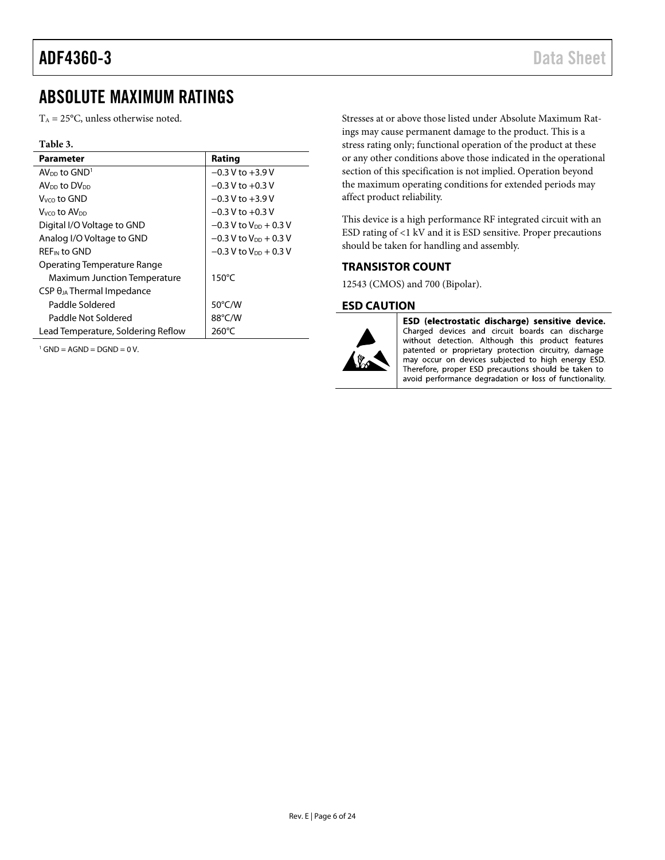### <span id="page-5-0"></span>ABSOLUTE MAXIMUM RATINGS

 $T_A = 25$ °C, unless otherwise noted.

| н<br>ı<br>٠<br>11 |  |
|-------------------|--|
|-------------------|--|

| <b>Parameter</b>                     | Rating                              |
|--------------------------------------|-------------------------------------|
| $AV_{DD}$ to $GND1$                  | $-0.3$ V to $+3.9$ V                |
| AV <sub>DD</sub> to DV <sub>DD</sub> | $-0.3$ V to $+0.3$ V                |
| $V_{VCD}$ to GND                     | $-0.3$ V to $+3.9$ V                |
| Vvco t <b>o AV</b> on                | $-0.3$ V to $+0.3$ V                |
| Digital I/O Voltage to GND           | $-0.3$ V to V <sub>DD</sub> + 0.3 V |
| Analog I/O Voltage to GND            | $-0.3$ V to V <sub>DD</sub> + 0.3 V |
| <b>REF<sub>IN</sub></b> to GND       | $-0.3$ V to V <sub>DD</sub> + 0.3 V |
| Operating Temperature Range          |                                     |
| <b>Maximum Junction Temperature</b>  | $150^{\circ}$ C                     |
| $CSP \theta_{JA}$ Thermal Impedance  |                                     |
| Paddle Soldered                      | 50°C/W                              |
| Paddle Not Soldered                  | 88°C/W                              |
| Lead Temperature, Soldering Reflow   | $260^{\circ}$ C                     |

 $1$  GND = AGND = DGND = 0 V.

Stresses at or above those listed under Absolute Maximum Ratings may cause permanent damage to the product. This is a stress rating only; functional operation of the product at these or any other conditions above those indicated in the operational section of this specification is not implied. Operation beyond the maximum operating conditions for extended periods may affect product reliability.

This device is a high performance RF integrated circuit with an ESD rating of <1 kV and it is ESD sensitive. Proper precautions should be taken for handling and assembly.

#### <span id="page-5-1"></span>**TRANSISTOR COUNT**

12543 (CMOS) and 700 (Bipolar).

#### <span id="page-5-2"></span>**ESD CAUTION**



ESD (electrostatic discharge) sensitive device. Charged devices and circuit boards can discharge without detection. Although this product features patented or proprietary protection circuitry, damage may occur on devices subjected to high energy ESD. Therefore, proper ESD precautions should be taken to avoid performance degradation or loss of functionality.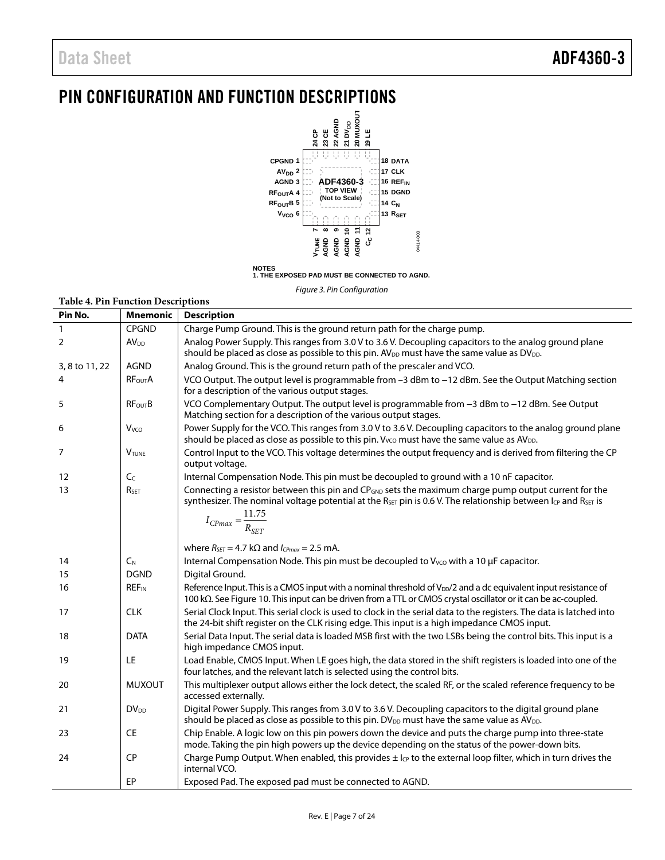### <span id="page-6-0"></span>PIN CONFIGURATION AND FUNCTION DESCRIPTIONS



*Figure 3. Pin Configuration*

| <b>Table 4. Pin Function Descriptions</b> |                         |                                                                                                                                                                                                                                                                                                       |
|-------------------------------------------|-------------------------|-------------------------------------------------------------------------------------------------------------------------------------------------------------------------------------------------------------------------------------------------------------------------------------------------------|
| Pin No.                                   | <b>Mnemonic</b>         | <b>Description</b>                                                                                                                                                                                                                                                                                    |
| $\mathbf{1}$                              | <b>CPGND</b>            | Charge Pump Ground. This is the ground return path for the charge pump.                                                                                                                                                                                                                               |
| 2                                         | AV <sub>DD</sub>        | Analog Power Supply. This ranges from 3.0 V to 3.6 V. Decoupling capacitors to the analog ground plane<br>should be placed as close as possible to this pin. AV <sub>DD</sub> must have the same value as DV <sub>DD</sub> .                                                                          |
| 3, 8 to 11, 22                            | <b>AGND</b>             | Analog Ground. This is the ground return path of the prescaler and VCO.                                                                                                                                                                                                                               |
| 4                                         | <b>RFOUTA</b>           | VCO Output. The output level is programmable from -3 dBm to -12 dBm. See the Output Matching section<br>for a description of the various output stages.                                                                                                                                               |
| 5                                         | <b>RFourB</b>           | VCO Complementary Output. The output level is programmable from -3 dBm to -12 dBm. See Output<br>Matching section for a description of the various output stages.                                                                                                                                     |
| 6                                         | V <sub>vco</sub>        | Power Supply for the VCO. This ranges from 3.0 V to 3.6 V. Decoupling capacitors to the analog ground plane<br>should be placed as close as possible to this pin. V <sub>vco</sub> must have the same value as AV <sub>DD</sub> .                                                                     |
| 7                                         | <b>VTUNE</b>            | Control Input to the VCO. This voltage determines the output frequency and is derived from filtering the CP<br>output voltage.                                                                                                                                                                        |
| 12                                        | C <sub>C</sub>          | Internal Compensation Node. This pin must be decoupled to ground with a 10 nF capacitor.                                                                                                                                                                                                              |
| 13                                        | R <sub>SET</sub>        | Connecting a resistor between this pin and CP <sub>GND</sub> sets the maximum charge pump output current for the<br>synthesizer. The nominal voltage potential at the R <sub>SET</sub> pin is 0.6 V. The relationship between $I_{CP}$ and R <sub>SET</sub> is<br>$I_{CPmax} = \frac{11.75}{R_{SET}}$ |
|                                           |                         | where $R_{SET} = 4.7 \text{ k}\Omega$ and $I_{CPmax} = 2.5 \text{ mA}$ .                                                                                                                                                                                                                              |
| 14                                        | $C_{N}$                 | Internal Compensation Node. This pin must be decoupled to V <sub>VCO</sub> with a 10 µF capacitor.                                                                                                                                                                                                    |
| 15                                        | <b>DGND</b>             | Digital Ground.                                                                                                                                                                                                                                                                                       |
| 16                                        | <b>REF<sub>IN</sub></b> | Reference Input. This is a CMOS input with a nominal threshold of V <sub>DD</sub> /2 and a dc equivalent input resistance of<br>100 kΩ. See Figure 10. This input can be driven from a TTL or CMOS crystal oscillator or it can be ac-coupled.                                                        |
| 17                                        | <b>CLK</b>              | Serial Clock Input. This serial clock is used to clock in the serial data to the registers. The data is latched into<br>the 24-bit shift register on the CLK rising edge. This input is a high impedance CMOS input.                                                                                  |
| 18                                        | <b>DATA</b>             | Serial Data Input. The serial data is loaded MSB first with the two LSBs being the control bits. This input is a<br>high impedance CMOS input.                                                                                                                                                        |
| 19                                        | LE.                     | Load Enable, CMOS Input. When LE goes high, the data stored in the shift registers is loaded into one of the<br>four latches, and the relevant latch is selected using the control bits.                                                                                                              |
| 20                                        | <b>MUXOUT</b>           | This multiplexer output allows either the lock detect, the scaled RF, or the scaled reference frequency to be<br>accessed externally.                                                                                                                                                                 |
| 21                                        | <b>DV</b> <sub>DD</sub> | Digital Power Supply. This ranges from 3.0 V to 3.6 V. Decoupling capacitors to the digital ground plane<br>should be placed as close as possible to this pin. DV <sub>DD</sub> must have the same value as AV <sub>DD</sub> .                                                                        |
| 23                                        | CE                      | Chip Enable. A logic low on this pin powers down the device and puts the charge pump into three-state<br>mode. Taking the pin high powers up the device depending on the status of the power-down bits.                                                                                               |
| 24                                        | CP                      | Charge Pump Output. When enabled, this provides $\pm$ Ice to the external loop filter, which in turn drives the<br>internal VCO.                                                                                                                                                                      |
|                                           | EP                      | Exposed Pad. The exposed pad must be connected to AGND.                                                                                                                                                                                                                                               |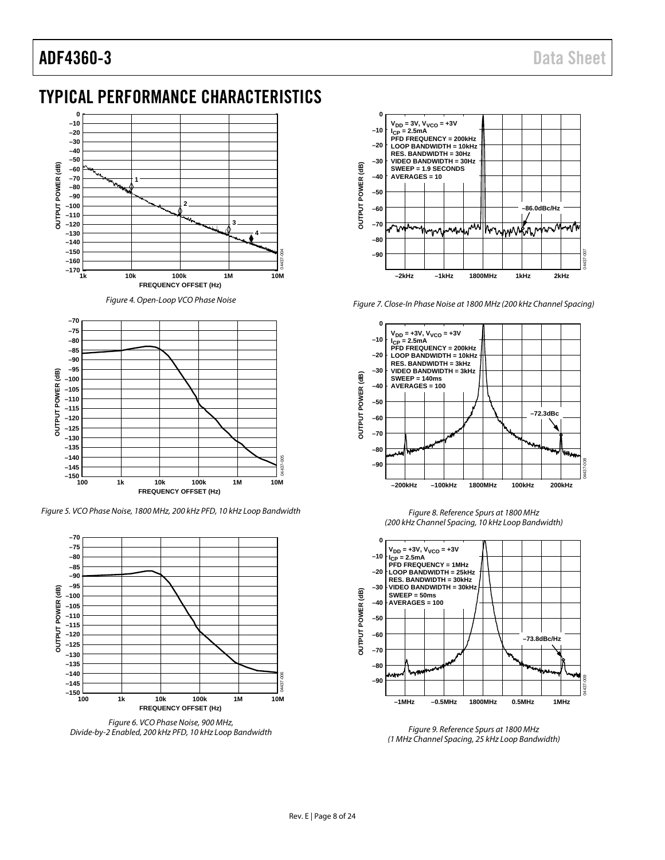### ADF4360-3 Data Sheet

### <span id="page-7-0"></span>TYPICAL PERFORMANCE CHARACTERISTICS



*Figure 4. Open-Loop VCO Phase Noise*



*Figure 5. VCO Phase Noise, 1800 MHz, 200 kHz PFD, 10 kHz Loop Bandwidth*



*Figure 6. VCO Phase Noise, 900 MHz, Divide-by-2 Enabled, 200 kHz PFD, 10 kHz Loop Bandwidth* 



*Figure 7. Close-In Phase Noise at 1800 MHz (200 kHz Channel Spacing)*



*Figure 8. Reference Spurs at 1800 MHz (200 kHz Channel Spacing, 10 kHz Loop Bandwidth)*



*Figure 9. Reference Spurs at 1800 MHz (1 MHz Channel Spacing, 25 kHz Loop Bandwidth)*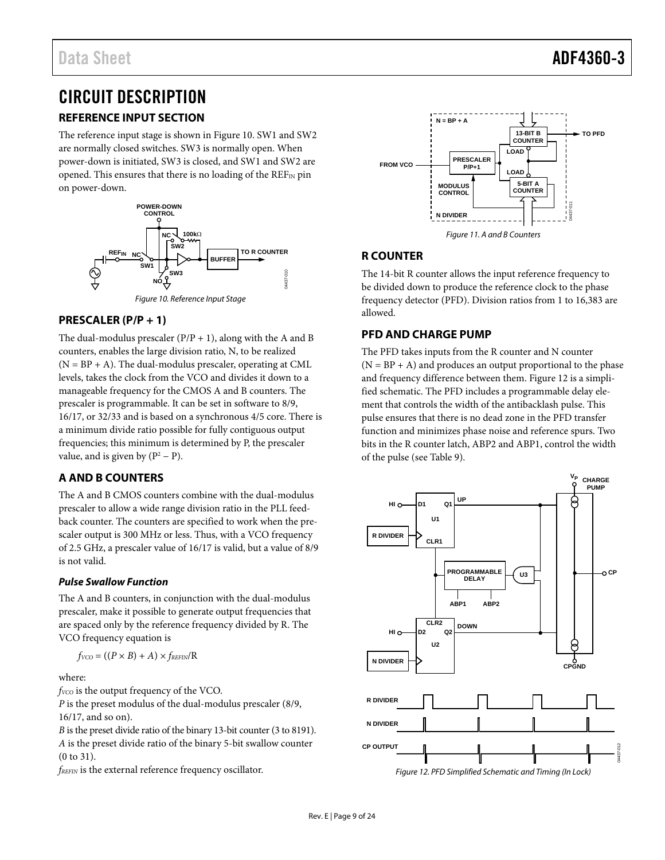### <span id="page-8-0"></span>CIRCUIT DESCRIPTION

#### <span id="page-8-1"></span>**REFERENCE INPUT SECTION**

The reference input stage is shown i[n Figure 10.](#page-8-6) SW1 and SW2 are normally closed switches. SW3 is normally open. When power-down is initiated, SW3 is closed, and SW1 and SW2 are opened. This ensures that there is no loading of the  $REF_{IN}$  pin on power-down.



#### <span id="page-8-6"></span><span id="page-8-2"></span>**PRESCALER (P/P + 1)**

The dual-modulus prescaler  $(P/P + 1)$ , along with the A and B counters, enables the large division ratio, N, to be realized  $(N = BP + A)$ . The dual-modulus prescaler, operating at CML levels, takes the clock from the VCO and divides it down to a manageable frequency for the CMOS A and B counters. The prescaler is programmable. It can be set in software to 8/9, 16/17, or 32/33 and is based on a synchronous 4/5 core. There is a minimum divide ratio possible for fully contiguous output frequencies; this minimum is determined by P, the prescaler value, and is given by  $(P^2 - P)$ .

#### <span id="page-8-3"></span>**A AND B COUNTERS**

The A and B CMOS counters combine with the dual-modulus prescaler to allow a wide range division ratio in the PLL feedback counter. The counters are specified to work when the prescaler output is 300 MHz or less. Thus, with a VCO frequency of 2.5 GHz, a prescaler value of 16/17 is valid, but a value of 8/9 is not valid.

#### **Pulse Swallow Function**

The A and B counters, in conjunction with the dual-modulus prescaler, make it possible to generate output frequencies that are spaced only by the reference frequency divided by R. The VCO frequency equation is

$$
f_{VCO} = ((P \times B) + A) \times f_{REFIN} / R
$$

where:

*f<sub>VCO</sub>* is the output frequency of the VCO.

*P* is the preset modulus of the dual-modulus prescaler (8/9, 16/17, and so on).

*B* is the preset divide ratio of the binary 13-bit counter (3 to 8191). *A* is the preset divide ratio of the binary 5-bit swallow counter (0 to 31).

*fREFIN* is the external reference frequency oscillator.



#### <span id="page-8-4"></span>**R COUNTER**

The 14-bit R counter allows the input reference frequency to be divided down to produce the reference clock to the phase frequency detector (PFD). Division ratios from 1 to 16,383 are allowed.

#### <span id="page-8-5"></span>**PFD AND CHARGE PUMP**

The PFD takes inputs from the R counter and N counter  $(N = BP + A)$  and produces an output proportional to the phase and frequency difference between them[. Figure 12](#page-8-7) is a simplified schematic. The PFD includes a programmable delay element that controls the width of the antibacklash pulse. This pulse ensures that there is no dead zone in the PFD transfer function and minimizes phase noise and reference spurs. Two bits in the R counter latch, ABP2 and ABP1, control the width of the pulse (see [Table 9\)](#page-14-0).

<span id="page-8-7"></span>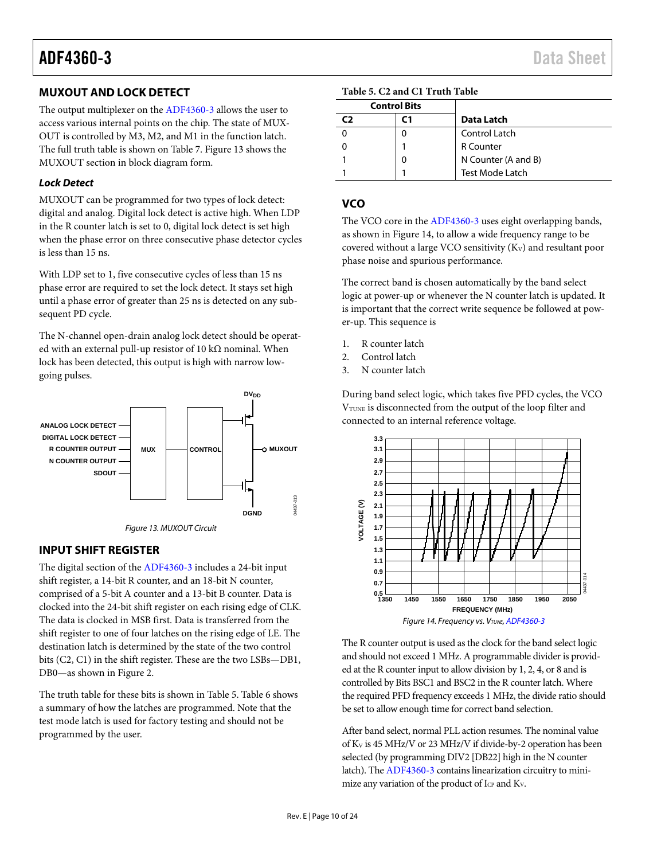#### <span id="page-9-0"></span>**MUXOUT AND LOCK DETECT**

The output multiplexer on th[e ADF4360-3](http://www.analog.com/ADF4360-3?doc=ADF4360-3.pdf) allows the user to access various internal points on the chip. The state of MUX-OUT is controlled by M3, M2, and M1 in the function latch. The full truth table is shown o[n Table 7.](#page-12-0) [Figure 13](#page-9-3) shows the MUXOUT section in block diagram form.

#### *Lock Detect*

MUXOUT can be programmed for two types of lock detect: digital and analog. Digital lock detect is active high. When LDP in the R counter latch is set to 0, digital lock detect is set high when the phase error on three consecutive phase detector cycles is less than 15 ns.

With LDP set to 1, five consecutive cycles of less than 15 ns phase error are required to set the lock detect. It stays set high until a phase error of greater than 25 ns is detected on any subsequent PD cycle.

The N-channel open-drain analog lock detect should be operated with an external pull-up resistor of 10 k $\Omega$  nominal. When lock has been detected, this output is high with narrow lowgoing pulses.



<span id="page-9-3"></span><span id="page-9-1"></span>

The digital section of th[e ADF4360-3](http://www.analog.com/ADF4360-3?doc=ADF4360-3.pdf) includes a 24-bit input shift register, a 14-bit R counter, and an 18-bit N counter, comprised of a 5-bit A counter and a 13-bit B counter. Data is clocked into the 24-bit shift register on each rising edge of CLK. The data is clocked in MSB first. Data is transferred from the shift register to one of four latches on the rising edge of LE. The destination latch is determined by the state of the two control bits (C2, C1) in the shift register. These are the two LSBs—DB1, DB0—as shown i[n Figure 2.](#page-4-1)

The truth table for these bits is shown in [Table 5.](#page-9-4) [Table 6](#page-11-1) shows a summary of how the latches are programmed. Note that the test mode latch is used for factory testing and should not be programmed by the user.

<span id="page-9-4"></span>

|    | <b>Control Bits</b> |                        |
|----|---------------------|------------------------|
| C) | ГΊ                  | Data Latch             |
|    |                     | Control Latch          |
|    |                     | <b>R</b> Counter       |
|    |                     | N Counter (A and B)    |
|    |                     | <b>Test Mode Latch</b> |

#### <span id="page-9-2"></span>**VCO**

The VCO core in th[e ADF4360-3](http://www.analog.com/ADF4360-3?doc=ADF4360-3.pdf) uses eight overlapping bands, as shown i[n Figure 14,](#page-9-5) to allow a wide frequency range to be covered without a large VCO sensitivity  $(K_V)$  and resultant poor phase noise and spurious performance.

The correct band is chosen automatically by the band select logic at power-up or whenever the N counter latch is updated. It is important that the correct write sequence be followed at power-up. This sequence is

- 1. R counter latch
- 2. Control latch
- 3. N counter latch

During band select logic, which takes five PFD cycles, the VCO V<sub>TUNE</sub> is disconnected from the output of the loop filter and connected to an internal reference voltage.



<span id="page-9-5"></span>The R counter output is used as the clock for the band select logic and should not exceed 1 MHz. A programmable divider is provided at the R counter input to allow division by 1, 2, 4, or 8 and is controlled by Bits BSC1 and BSC2 in the R counter latch. Where the required PFD frequency exceeds 1 MHz, the divide ratio should be set to allow enough time for correct band selection.

After band select, normal PLL action resumes. The nominal value of KV is 45 MHz/V or 23 MHz/V if divide-by-2 operation has been selected (by programming DIV2 [DB22] high in the N counter latch). Th[e ADF4360-3](http://www.analog.com/ADF4360-3?doc=ADF4360-3.pdf) contains linearization circuitry to minimize any variation of the product of I<sub>CP</sub> and K<sub>V</sub>.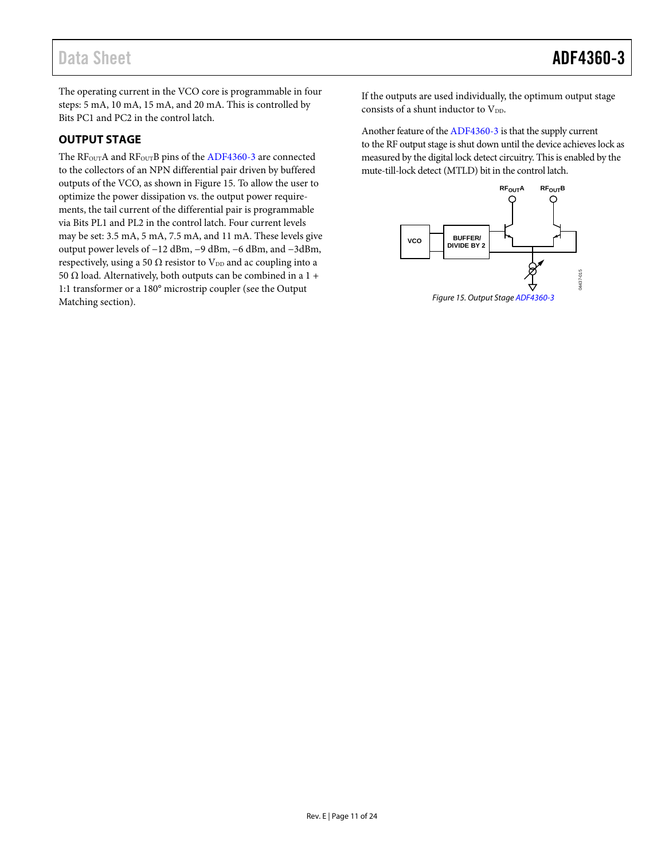The operating current in the VCO core is programmable in four steps: 5 mA, 10 mA, 15 mA, and 20 mA. This is controlled by Bits PC1 and PC2 in the control latch.

#### <span id="page-10-0"></span>**OUTPUT STAGE**

The RF<sub>OUT</sub>A and RF<sub>OUT</sub>B pins of the [ADF4360-3](http://www.analog.com/ADF4360-3?doc=ADF4360-3.pdf) are connected to the collectors of an NPN differential pair driven by buffered outputs of the VCO, as shown i[n Figure 15.](#page-10-1) To allow the user to optimize the power dissipation vs. the output power requirements, the tail current of the differential pair is programmable via Bits PL1 and PL2 in the control latch. Four current levels may be set: 3.5 mA, 5 mA, 7.5 mA, and 11 mA. These levels give output power levels of −12 dBm, −9 dBm, −6 dBm, and −3dBm, respectively, using a 50  $\Omega$  resistor to  $\mathrm{V_{DD}}$  and ac coupling into a 50 Ω load. Alternatively, both outputs can be combined in a  $1 +$ 1:1 transformer or a 180° microstrip coupler (see the [Output](#page-21-1)  [Matching](#page-21-1) section).

If the outputs are used individually, the optimum output stage consists of a shunt inductor to  $V_{DD}$ .

Another feature of th[e ADF4360-3](http://www.analog.com/ADF4360-3?doc=ADF4360-3.pdf) is that the supply current to the RF output stage is shut down until the device achieves lock as measured by the digital lock detect circuitry. This is enabled by the mute-till-lock detect (MTLD) bit in the control latch.



<span id="page-10-1"></span>*Figure 15. Output Stag[e ADF4360-3](http://www.analog.com/ADF4360-3?doc=ADF4360-3.pdf)*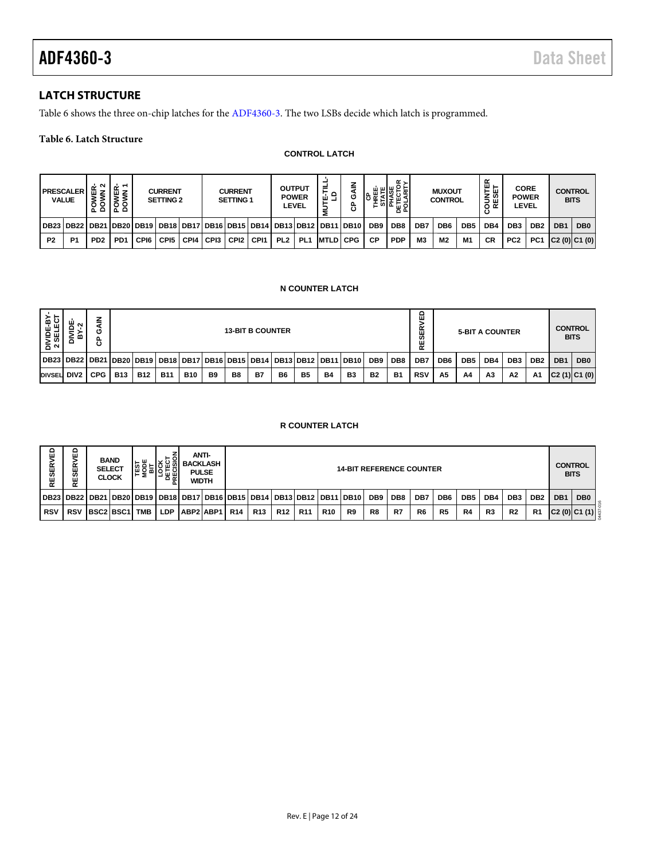#### <span id="page-11-0"></span>**LATCH STRUCTURE**

[Table 6](#page-11-1) shows the three on-chip latches for th[e ADF4360-3.](http://www.analog.com/ADF4360-3?doc=ADF4360-3.pdf) The two LSBs decide which latch is programmed.

#### <span id="page-11-1"></span>**Table 6. Latch Structure**

#### **CONTROL LATCH**

|                | <b>PRESCALER</b><br><b>VALUE</b>                                                                | $\sim$<br>۰<br>٥<br>ᅐᅌ      | ╷空下<br>ÿξ<br>$\circ$<br>ᄫᄫ |      | <b>CURRENT</b><br><b>SETTING 2</b> |      |        | <b>CURRENT</b><br>SETTING 1 |                  |                 | <b>OUTPUT</b><br><b>POWER</b><br>LEVEL | ≓<br>운로           | z<br>ပ<br>ී | ш<br>ပ          | α,<br>喉눈<br>ш<br>인도필의 |                | <b>MUXOUT</b><br><b>CONTROL</b> |     | 없<br>통쓺<br>ய<br>≃<br>o | <b>CORE</b><br><b>POWER</b> | LEVEL           | <b>CONTROL</b>  | <b>BITS</b>     |
|----------------|-------------------------------------------------------------------------------------------------|-----------------------------|----------------------------|------|------------------------------------|------|--------|-----------------------------|------------------|-----------------|----------------------------------------|-------------------|-------------|-----------------|-----------------------|----------------|---------------------------------|-----|------------------------|-----------------------------|-----------------|-----------------|-----------------|
|                | DB23   DB22   DB21   DB20   DB19   DB18   DB17   DB16   DB15   DB14   DB13   DB12   DB11   DB10 |                             |                            |      |                                    |      |        |                             |                  |                 |                                        |                   |             | DB <sub>9</sub> | DB <sub>8</sub>       | DB7            | DB <sub>6</sub>                 | DB5 | DB4                    | DB <sub>3</sub>             | DB <sub>2</sub> | DB <sub>1</sub> | DB <sub>0</sub> |
| P <sub>2</sub> | P <sub>1</sub>                                                                                  | P <sub>D</sub> <sub>2</sub> | PD <sub>1</sub>            | CPI6 | CPI5                               | CPI4 | I CPI3 | CPI <sub>2</sub>            | CP <sub>11</sub> | PL <sub>2</sub> | PL <sub>1</sub>                        | <b>IMTLDI CPG</b> |             | СP              | <b>PDP</b>            | M <sub>3</sub> | M <sub>2</sub>                  | M1  | <b>CR</b>              | PC <sub>2</sub>             | PC <sub>1</sub> | C2(0) C1(0)     |                 |

#### **N COUNTER LATCH**

| DIVIDE-BY-<br>2 SELECT | DIVIDE<br>ิ<br>٠r<br>m           | <b>GAIN</b><br>င်            |              |            |                                                                                 |                                                 |                          | <b>13-BIT B COUNTER</b>         |           |           |                  |           |                  |                 |                 | ۵<br>><br>Œ<br><b>S</b><br>RE |                 | <b>5-BIT A COUNTER</b> |     |                 |                               |     | <b>CONTROL</b><br><b>BITS</b> |
|------------------------|----------------------------------|------------------------------|--------------|------------|---------------------------------------------------------------------------------|-------------------------------------------------|--------------------------|---------------------------------|-----------|-----------|------------------|-----------|------------------|-----------------|-----------------|-------------------------------|-----------------|------------------------|-----|-----------------|-------------------------------|-----|-------------------------------|
|                        | DB23   DB22   DB21   DB20   DB19 |                              |              |            |                                                                                 |                                                 | DB18 DB17 DB16 DB15 DB14 |                                 |           |           | <b>DB13 DB12</b> |           | <b>DB11 DB10</b> | DB <sub>9</sub> | DB <sub>8</sub> | DB7                           | DB <sub>6</sub> | DB <sub>5</sub>        | DB4 | DB <sub>3</sub> | DB <sub>2</sub>               | DB1 | DB <sub>0</sub>               |
| DIVSEL DIV2            |                                  | <b>CPG</b>                   | <b>B13</b>   | <b>B12</b> | <b>B11</b>                                                                      | <b>B10</b>                                      | B <sub>9</sub>           | B <sub>8</sub>                  | <b>B7</b> | <b>B6</b> | <b>B5</b>        | <b>B4</b> | B <sub>3</sub>   | <b>B2</b>       | <b>B1</b>       | <b>RSV</b>                    | A <sub>5</sub>  | A4                     | A3  | A2              | Α1                            |     | C2(1) C1(0)                   |
|                        | <b>R COUNTER LATCH</b>           |                              |              |            |                                                                                 |                                                 |                          |                                 |           |           |                  |           |                  |                 |                 |                               |                 |                        |     |                 |                               |     |                               |
| RESERVED               | <b>RVED</b><br>RESEI             | <b>BAND</b><br><b>SELECT</b> | <b>CLOCK</b> |            | <b>TEST<br/> MODE<br/> MODE<br/> LOCK<br/> DETECT<br/> DETECT<br/> PRECISIC</b> | <b>ANTI-</b><br><b>BACKLASH</b><br><b>PULSE</b> | WIDTH                    | <b>14-BIT REFERENCE COUNTER</b> |           |           |                  |           |                  |                 |                 |                               |                 |                        |     |                 | <b>CONTROL</b><br><b>BITS</b> |     |                               |

#### **R COUNTER LATCH**

| 읎<br><b>RESERV</b> | ш<br>ᄔ<br>ഗ                                                           |           | <b>BAND</b><br><b>SELECT</b><br><b>CLOCK</b> | ш<br>⊢≥    | ម្លេ<br>ہ ہ |           | ANTI-<br><b>BACKLASH</b><br><b>PULSE</b><br>WIDTH |            |            |     |                 |            | <b>14-BIT REFERENCE COUNTER</b> |     |     |                |                 |                 |                 |                 |                 |                 | <b>CONTROL</b><br><b>BITS</b> |
|--------------------|-----------------------------------------------------------------------|-----------|----------------------------------------------|------------|-------------|-----------|---------------------------------------------------|------------|------------|-----|-----------------|------------|---------------------------------|-----|-----|----------------|-----------------|-----------------|-----------------|-----------------|-----------------|-----------------|-------------------------------|
|                    | DB23 DB22 DB21 DB20 DB19 DB18 DB17 DB16 DB15 DB14 DB13 DB12 DB11 DB10 |           |                                              |            |             |           |                                                   |            |            |     |                 |            |                                 | DB9 | DB8 | DB7            | DB <sub>6</sub> | DB <sub>5</sub> | DB <sub>4</sub> | DB <sub>3</sub> | DB <sub>2</sub> | DB <sub>1</sub> | DB <sub>0</sub>               |
| <b>RSV</b>         | <b>RSV</b>                                                            | BSC2 BSC1 |                                              | <b>TMB</b> | <b>LDP</b>  | ABP2 ABP1 |                                                   | <b>R14</b> | <b>R13</b> | R12 | R <sub>11</sub> | <b>R10</b> | R9                              | R8  | R7  | R <sub>6</sub> | R <sub>5</sub>  | R4              | R <sub>3</sub>  | R <sub>2</sub>  | R <sub>1</sub>  |                 | C2 (0) C1 (1) ୁ               |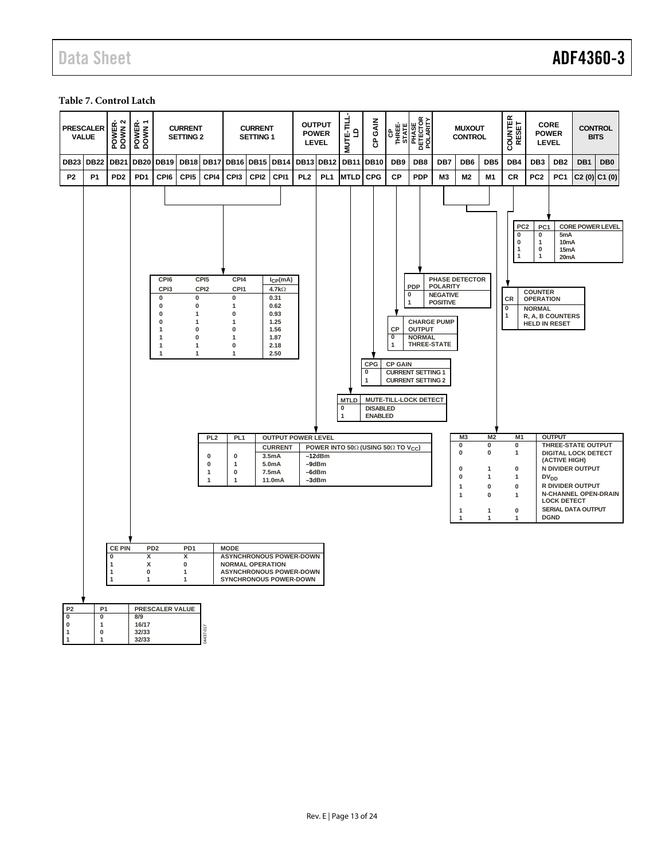## Data Sheet **ADF4360-3**

#### <span id="page-12-0"></span>**Table 7. Control Latch**

|                                                               | <b>PRESCALER</b><br><b>VALUE</b>                                                                                                                                                                                                                                                                                                                                                                                                                                                                                                                                                                                                                                                                                                                                                                                                                                                                                                                                                                                                                                                                                                                                                                                                                   | POWER-<br>DOWN 2              | POWER-<br>DOWN 1                                      |                 | <b>CURRENT</b><br><b>SETTING 2</b> |                         |                                                                                     | <b>CURRENT</b><br><b>SETTING 1</b> |                                                             |                 | <b>OUTPUT</b><br><b>POWER</b><br><b>LEVEL</b> | <b>MUTE-TILL-</b><br>G | GAIN<br>ဇိ  |                 | CP<br>THREE-<br>STATE<br>PHASE<br>POLARITY<br>POLARITY |                | <b>MUXOUT</b><br><b>CONTROL</b>                                     |                                                        | COUNTER<br>RESET                                          | <b>LEVEL</b>            | CORE<br><b>POWER</b>                                               | <b>CONTROL</b>                                                                                  | <b>BITS</b>             |
|---------------------------------------------------------------|----------------------------------------------------------------------------------------------------------------------------------------------------------------------------------------------------------------------------------------------------------------------------------------------------------------------------------------------------------------------------------------------------------------------------------------------------------------------------------------------------------------------------------------------------------------------------------------------------------------------------------------------------------------------------------------------------------------------------------------------------------------------------------------------------------------------------------------------------------------------------------------------------------------------------------------------------------------------------------------------------------------------------------------------------------------------------------------------------------------------------------------------------------------------------------------------------------------------------------------------------|-------------------------------|-------------------------------------------------------|-----------------|------------------------------------|-------------------------|-------------------------------------------------------------------------------------|------------------------------------|-------------------------------------------------------------|-----------------|-----------------------------------------------|------------------------|-------------|-----------------|--------------------------------------------------------|----------------|---------------------------------------------------------------------|--------------------------------------------------------|-----------------------------------------------------------|-------------------------|--------------------------------------------------------------------|-------------------------------------------------------------------------------------------------|-------------------------|
| <b>DB23</b>                                                   | <b>DB22</b>                                                                                                                                                                                                                                                                                                                                                                                                                                                                                                                                                                                                                                                                                                                                                                                                                                                                                                                                                                                                                                                                                                                                                                                                                                        | <b>DB21</b>                   | <b>DB20</b>                                           | <b>DB19</b>     | <b>DB18</b>                        | <b>DB17</b>             | DB16 DB15 DB14                                                                      |                                    |                                                             |                 | <b>DB13 DB12</b>                              | <b>DB11</b>            | <b>DB10</b> | DB <sub>9</sub> | DB <sub>8</sub>                                        | DB7            | DB <sub>6</sub>                                                     | DB <sub>5</sub>                                        | DB4                                                       | DB <sub>3</sub>         | DB <sub>2</sub>                                                    | DB1                                                                                             | DB <sub>0</sub>         |
| <b>P2</b>                                                     | <b>P1</b>                                                                                                                                                                                                                                                                                                                                                                                                                                                                                                                                                                                                                                                                                                                                                                                                                                                                                                                                                                                                                                                                                                                                                                                                                                          | P <sub>D</sub> <sub>2</sub>   | PD <sub>1</sub>                                       | CPI6            | CPI <sub>5</sub>                   | CPI4                    | CPI3                                                                                | CPI <sub>2</sub>                   | CPI1                                                        | PL <sub>2</sub> | PL <sub>1</sub>                               | <b>MTLD</b>            | <b>CPG</b>  | <b>CP</b>       | <b>PDP</b>                                             | M <sub>3</sub> | M2                                                                  | M <sub>1</sub>                                         | CR                                                        | PC <sub>2</sub>         | PC <sub>1</sub>                                                    | $C2(0)$ $C1(0)$                                                                                 |                         |
|                                                               |                                                                                                                                                                                                                                                                                                                                                                                                                                                                                                                                                                                                                                                                                                                                                                                                                                                                                                                                                                                                                                                                                                                                                                                                                                                    |                               |                                                       |                 |                                    |                         |                                                                                     |                                    |                                                             |                 |                                               |                        |             |                 |                                                        |                |                                                                     |                                                        | PC <sub>2</sub><br>0<br>0<br>$\mathbf{1}$<br>$\mathbf{1}$ | PC1<br>0<br>1<br>0<br>1 | 5mA<br>10 <sub>m</sub> A<br>15 <sub>m</sub> A<br>20 <sub>m</sub> A |                                                                                                 | <b>CORE POWER LEVEL</b> |
|                                                               | PHASE DETECTOR<br>CPI4<br>CPI6<br>CPI <sub>5</sub><br>$I_{CP}(mA)$<br><b>PDP</b><br><b>POLARITY</b><br>CPI3<br>CPI1<br>CPI <sub>2</sub><br>$4.7k\Omega$<br><b>COUNTER</b><br>0<br><b>NEGATIVE</b><br>0<br>0<br>0<br>0.31<br>CR<br><b>OPERATION</b><br><b>POSITIVE</b><br>1<br>$\mathbf{0}$<br>$\mathbf 0$<br>1<br>0.62<br>0<br><b>NORMAL</b><br>0<br>$\mathbf{1}$<br>0<br>0.93<br>1<br>R, A, B COUNTERS<br>$\pmb{0}$<br>1.25<br><b>CHARGE PUMP</b><br>1<br>$\mathbf{1}$<br><b>HELD IN RESET</b><br><b>OUTPUT</b><br>$\pmb{0}$<br>CP<br>1<br>0<br>1.56<br>1.87<br>$\overline{\mathbf{0}}$<br><b>NORMAL</b><br>$\mathbf{1}$<br>$\mathbf{0}$<br>$\mathbf{1}$<br>THREE-STATE<br>1<br>$\pmb{0}$<br>2.18<br>1<br>$\mathbf{1}$<br>$\mathbf{1}$<br>$\mathbf{1}$<br>$\mathbf{1}$<br>2.50<br>CPG<br><b>CP GAIN</b><br>$\overline{\mathbf{0}}$<br><b>CURRENT SETTING 1</b><br><b>CURRENT SETTING 2</b><br>1<br><b>MTLD</b><br>MUTE-TILL-LOCK DETECT<br>$\pmb{0}$<br><b>DISABLED</b><br><b>ENABLED</b><br>1<br>M <sub>3</sub><br>M <sub>2</sub><br>M <sub>1</sub><br><b>OUTPUT</b><br>PL <sub>2</sub><br>PL <sub>1</sub><br><b>OUTPUT POWER LEVEL</b><br>0<br>0<br>THREE-STATE OUTPUT<br>0<br>POWER INTO 500 (USING 500 TO V <sub>CC</sub> )<br><b>CURRENT</b> |                               |                                                       |                 |                                    |                         |                                                                                     |                                    |                                                             |                 |                                               |                        |             |                 |                                                        |                |                                                                     |                                                        |                                                           |                         |                                                                    |                                                                                                 |                         |
|                                                               |                                                                                                                                                                                                                                                                                                                                                                                                                                                                                                                                                                                                                                                                                                                                                                                                                                                                                                                                                                                                                                                                                                                                                                                                                                                    | <b>CE PIN</b><br>$\mathbf{0}$ | PD <sub>2</sub><br>x                                  |                 | PD <sub>1</sub><br>X               | 0<br>$\bf{0}$<br>1<br>1 | 0<br>1<br>0<br>1<br><b>MODE</b><br><b>ASYNCHRONOUS POWER-DOWN</b>                   |                                    | 3.5 <sub>m</sub> A<br>5.0 <sub>m</sub> A<br>7.5mA<br>11.0mA |                 | $-12dBm$<br>$-9dBr$<br>$-6dBm$<br>-3dBm       |                        |             |                 |                                                        |                | 0<br>$\bf{0}$<br>$\bf{0}$<br>1<br>$\mathbf{1}$<br>$\mathbf{1}$<br>1 | 0<br>1<br>1<br>$\mathbf 0$<br>0<br>$\overline{1}$<br>1 | 1<br>0<br>1<br>0<br>$\mathbf{1}$<br>0<br>1                |                         | (ACTIVE HIGH)<br>$DV_{DD}$<br><b>LOCK DETECT</b><br><b>DGND</b>    | <b>DIGITAL LOCK DETECT</b><br>N DIVIDER OUTPUT<br>R DIVIDER OUTPUT<br><b>SERIAL DATA OUTPUT</b> | N-CHANNEL OPEN-DRAIN    |
| P <sub>2</sub><br>$\pmb{0}$<br>$\pmb{0}$<br>$\mathbf{1}$<br>1 | P <sub>1</sub><br>$\pmb{0}$<br>$\mathbf{1}$<br>$\mathbf{0}$<br>$\mathbf{1}$                                                                                                                                                                                                                                                                                                                                                                                                                                                                                                                                                                                                                                                                                                                                                                                                                                                                                                                                                                                                                                                                                                                                                                        | $\overline{1}$<br>-1          | x<br>$\pmb{0}$<br>1<br>8/9<br>16/17<br>32/33<br>32/33 | PRESCALER VALUE | 0<br>$\mathbf{1}$<br>$\mathbf{1}$  | N437-017                | <b>NORMAL OPERATION</b><br><b>ASYNCHRONOUS POWER-DOWN</b><br>SYNCHRONOUS POWER-DOWN |                                    |                                                             |                 |                                               |                        |             |                 |                                                        |                |                                                                     |                                                        |                                                           |                         |                                                                    |                                                                                                 |                         |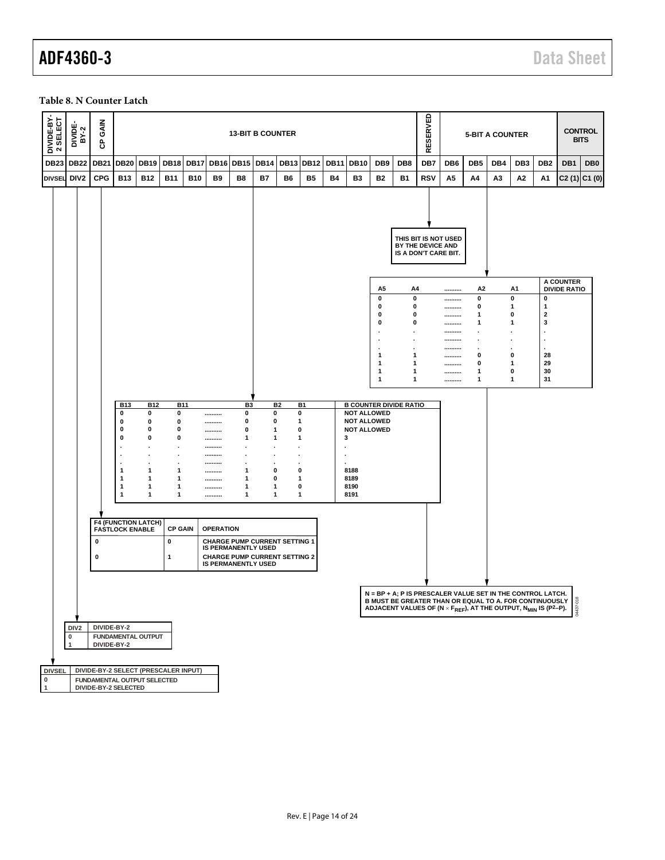## ADF4360-3 Data Sheet

#### <span id="page-13-0"></span>**Table 8. N Counter Latch**

| DIVIDE-BY-<br>2 SELECT<br><b>GAIN</b><br>DIVIDE-<br>BY-2<br>සි |                                                      |                          |                                                                    |                     | RESERVED                     |             |                | <b>5-BIT A COUNTER</b> |                |                                                                                                                                                                             |                                           | <b>CONTROL</b><br><b>BITS</b> |                          |                        |     |                                        |                                  |                                  |                 |
|----------------------------------------------------------------|------------------------------------------------------|--------------------------|--------------------------------------------------------------------|---------------------|------------------------------|-------------|----------------|------------------------|----------------|-----------------------------------------------------------------------------------------------------------------------------------------------------------------------------|-------------------------------------------|-------------------------------|--------------------------|------------------------|-----|----------------------------------------|----------------------------------|----------------------------------|-----------------|
| <b>DB23</b><br><b>DB22</b><br><b>DB21</b>                      | DB20 DB19 DB18                                       | <b>DB17</b>              | <b>DB16</b>                                                        | <b>DB15</b>         | <b>DB14</b>                  | <b>DB13</b> | <b>DB12</b>    | <b>DB11</b>            | <b>DB10</b>    | DB <sub>9</sub>                                                                                                                                                             | DB <sub>8</sub>                           | DB7                           | DB <sub>6</sub>          | DB <sub>5</sub>        | DB4 | DB <sub>3</sub>                        | DB2                              | DB1                              | DB <sub>0</sub> |
| <b>CPG</b><br>DIV <sub>2</sub><br><b>DIVSEL</b>                | <b>B13</b><br><b>B12</b>                             | <b>B11</b><br><b>B10</b> | <b>B9</b>                                                          | B8                  | <b>B7</b>                    | B6          | B <sub>5</sub> | Β4                     | B <sub>3</sub> | <b>B2</b>                                                                                                                                                                   | <b>B1</b>                                 | <b>RSV</b>                    | А5                       | A4                     | A3  | Α2                                     | Α1                               | $C2(1)$ $C1(0)$                  |                 |
|                                                                |                                                      |                          |                                                                    |                     |                              |             |                |                        |                |                                                                                                                                                                             | BY THE DEVICE AND<br>IS A DON'T CARE BIT. |                               | THIS BIT IS NOT USED     |                        |     |                                        |                                  |                                  |                 |
|                                                                |                                                      |                          |                                                                    |                     |                              |             |                |                        |                | A5                                                                                                                                                                          | A4                                        |                               |                          | А2                     |     | A1                                     |                                  | A COUNTER<br><b>DIVIDE RATIO</b> |                 |
|                                                                |                                                      |                          |                                                                    |                     |                              |             |                |                        |                | 0<br>0                                                                                                                                                                      | $\pmb{0}$<br>0                            |                               | ----------               | 0<br>0                 |     | $\pmb{0}$<br>$\mathbf{1}$              | 0<br>$\mathbf{1}$                |                                  |                 |
|                                                                |                                                      |                          |                                                                    |                     |                              |             |                |                        |                | 0<br>0                                                                                                                                                                      | 0<br>0                                    |                               | ----------<br>---------- | 1                      |     | 0                                      | $\mathbf 2$<br>3                 |                                  |                 |
|                                                                |                                                      |                          |                                                                    |                     |                              |             |                |                        |                |                                                                                                                                                                             | $\cdot$                                   |                               | <br>----------           | 1<br>$\bullet$         |     | 1<br>٠                                 | ٠                                |                                  |                 |
|                                                                |                                                      |                          |                                                                    |                     |                              |             |                |                        |                |                                                                                                                                                                             | $\blacksquare$<br>٠                       |                               | ----------<br>           | $\bullet$<br>$\bullet$ |     | $\ddot{\phantom{0}}$<br>$\blacksquare$ | $\blacksquare$<br>$\blacksquare$ |                                  |                 |
|                                                                |                                                      |                          |                                                                    |                     |                              |             |                |                        |                | 1<br>1                                                                                                                                                                      | 1<br>1                                    |                               | ----------<br>---------- | 0<br>0                 |     | 0<br>$\mathbf{1}$                      | 28<br>29                         |                                  |                 |
|                                                                |                                                      |                          |                                                                    |                     |                              |             |                |                        |                | 1<br>1                                                                                                                                                                      | 1<br>1                                    |                               | ----------<br>---------- | 1<br>1                 |     | 0<br>$\mathbf{1}$                      | 30<br>31                         |                                  |                 |
|                                                                |                                                      |                          |                                                                    |                     |                              |             |                |                        |                |                                                                                                                                                                             |                                           |                               |                          |                        |     |                                        |                                  |                                  |                 |
| 0                                                              | <b>B13</b><br><b>B12</b><br>0                        | <b>B11</b><br>0          |                                                                    | B <sub>3</sub><br>0 | 0                            | <b>B2</b>   | B1<br>0        |                        |                | <b>B COUNTER DIVIDE RATIO</b><br><b>NOT ALLOWED</b>                                                                                                                         |                                           |                               |                          |                        |     |                                        |                                  |                                  |                 |
| 0                                                              | 0<br>0                                               | 0                        |                                                                    | 0                   | 0                            |             | 1<br>0         |                        |                | <b>NOT ALLOWED</b>                                                                                                                                                          |                                           |                               |                          |                        |     |                                        |                                  |                                  |                 |
| 0<br>$\mathbf 0$                                               | 0                                                    | 0<br>0                   | <br>                                                               | 0<br>1              | $\mathbf{1}$<br>$\mathbf{1}$ |             | 1              | 3                      |                | <b>NOT ALLOWED</b>                                                                                                                                                          |                                           |                               |                          |                        |     |                                        |                                  |                                  |                 |
|                                                                |                                                      |                          | <br>                                                               |                     |                              |             |                |                        |                |                                                                                                                                                                             |                                           |                               |                          |                        |     |                                        |                                  |                                  |                 |
|                                                                |                                                      |                          |                                                                    |                     |                              |             |                |                        |                |                                                                                                                                                                             |                                           |                               |                          |                        |     |                                        |                                  |                                  |                 |
| $\mathbf{1}$<br>$\mathbf 1$                                    | 1<br>1                                               | 1<br>1                   | <br>                                                               | 1<br>$\mathbf{1}$   | 0<br>0                       |             | 0<br>1         |                        | 8188<br>8189   |                                                                                                                                                                             |                                           |                               |                          |                        |     |                                        |                                  |                                  |                 |
| $\mathbf{1}$                                                   | 1                                                    | 1                        |                                                                    | 1                   | 1                            |             | 0              |                        | 8190           |                                                                                                                                                                             |                                           |                               |                          |                        |     |                                        |                                  |                                  |                 |
| 1                                                              | 1                                                    | 1                        |                                                                    | $\mathbf{1}$        | 1                            |             | 1              |                        | 8191           |                                                                                                                                                                             |                                           |                               |                          |                        |     |                                        |                                  |                                  |                 |
|                                                                |                                                      |                          |                                                                    |                     |                              |             |                |                        |                |                                                                                                                                                                             |                                           |                               |                          |                        |     |                                        |                                  |                                  |                 |
|                                                                | <b>F4 (FUNCTION LATCH)</b><br><b>FASTLOCK ENABLE</b> | <b>CP GAIN</b>           | <b>OPERATION</b>                                                   |                     |                              |             |                |                        |                |                                                                                                                                                                             |                                           |                               |                          |                        |     |                                        |                                  |                                  |                 |
| 0                                                              |                                                      | 0                        | <b>CHARGE PUMP CURRENT SETTING 1</b><br><b>IS PERMANENTLY USED</b> |                     |                              |             |                |                        |                |                                                                                                                                                                             |                                           |                               |                          |                        |     |                                        |                                  |                                  |                 |
| 0                                                              |                                                      | $\mathbf{1}$             | <b>CHARGE PUMP CURRENT SETTING 2</b><br><b>IS PERMANENTLY USED</b> |                     |                              |             |                |                        |                |                                                                                                                                                                             |                                           |                               |                          |                        |     |                                        |                                  |                                  |                 |
|                                                                |                                                      |                          |                                                                    |                     |                              |             |                |                        |                |                                                                                                                                                                             |                                           |                               |                          |                        |     |                                        |                                  |                                  |                 |
|                                                                |                                                      |                          |                                                                    |                     |                              |             |                |                        |                | $N = BP + A$ : P IS PRESCALER VALUE SET IN THE CONTROL LATCH.                                                                                                               |                                           |                               |                          |                        |     |                                        |                                  |                                  |                 |
|                                                                |                                                      |                          |                                                                    |                     |                              |             |                |                        |                | B MUST BE GREATER THAN OR EQUAL TO A. FOR CONTINUOUSLY $\frac{3}{5}$<br>ADJACENT VALUES OF (N × F <sub>REF</sub> ), AT THE OUTPUT, N <sub>MIN</sub> IS (P <sup>2</sup> -P). |                                           |                               |                          |                        |     |                                        |                                  |                                  |                 |
| DIV <sub>2</sub><br>DIVIDE-BY-2                                |                                                      |                          |                                                                    |                     |                              |             |                |                        |                |                                                                                                                                                                             |                                           |                               |                          |                        |     |                                        |                                  |                                  |                 |
| $\pmb{0}$                                                      |                                                      |                          |                                                                    |                     |                              |             |                |                        |                |                                                                                                                                                                             |                                           |                               |                          |                        |     |                                        |                                  |                                  |                 |
| $\mathbf{1}$<br>DIVIDE-BY-2                                    | <b>FUNDAMENTAL OUTPUT</b>                            |                          |                                                                    |                     |                              |             |                |                        |                |                                                                                                                                                                             |                                           |                               |                          |                        |     |                                        |                                  |                                  |                 |
|                                                                |                                                      |                          |                                                                    |                     |                              |             |                |                        |                |                                                                                                                                                                             |                                           |                               |                          |                        |     |                                        |                                  |                                  |                 |
| <b>DIVSEL</b><br>DIVIDE-BY-2 SELECT (PRESCALER INPUT)          |                                                      |                          |                                                                    |                     |                              |             |                |                        |                |                                                                                                                                                                             |                                           |                               |                          |                        |     |                                        |                                  |                                  |                 |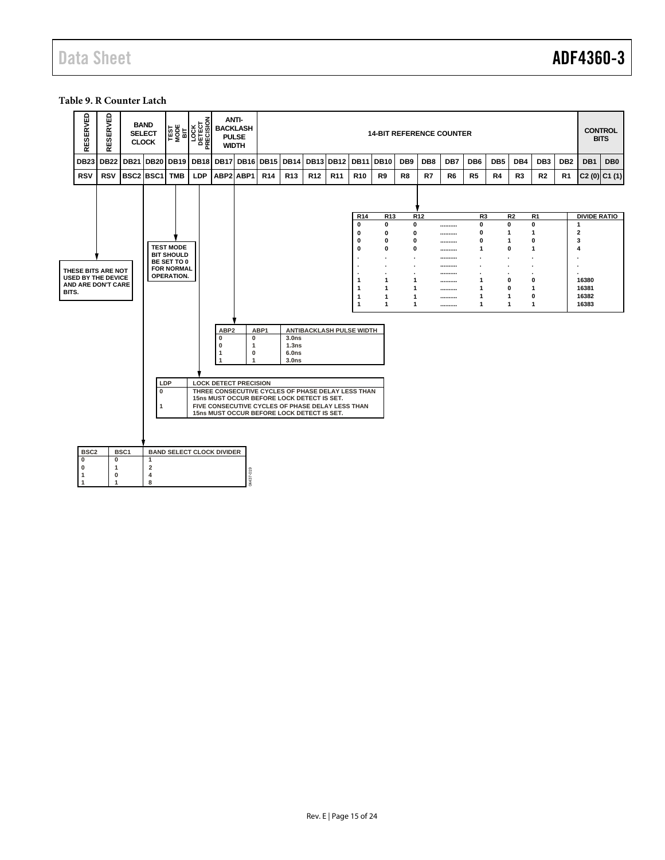#### <span id="page-14-0"></span>**Table 9. R Counter Latch**

|       | RESERVED                    | RESERVED                                        | <b>SELECT</b>    | <b>BAND</b><br><b>CLOCK</b>             | <b>TEST</b><br>MOBE<br>BIT             | る<br>$\begin{array}{c} \n\boxed{\text{GCK}} \\ \n\boxed{\text{DEIGU}} \\ \n\boxed{\text{NEGUSU}} \n\end{array}$<br>Δ. | <b>BACKLASH</b><br><b>PULSE</b><br><b>WIDTH</b> | <b>ANTI-</b>                                  |                 |                                                                                          |                 |                                                                                                       |                 |                   |                         |                 | <b>14-BIT REFERENCE COUNTER</b> |                 |                 |                |                              |                 |                                | <b>CONTROL</b><br><b>BITS</b> |
|-------|-----------------------------|-------------------------------------------------|------------------|-----------------------------------------|----------------------------------------|-----------------------------------------------------------------------------------------------------------------------|-------------------------------------------------|-----------------------------------------------|-----------------|------------------------------------------------------------------------------------------|-----------------|-------------------------------------------------------------------------------------------------------|-----------------|-------------------|-------------------------|-----------------|---------------------------------|-----------------|-----------------|----------------|------------------------------|-----------------|--------------------------------|-------------------------------|
|       | <b>DB23</b>                 | <b>DB22</b>                                     | <b>DB21</b>      | DB <sub>20</sub>                        | DB19                                   | <b>DB18</b>                                                                                                           | <b>DB17</b>                                     | <b>DB16</b>                                   | <b>DB15</b>     | DB14                                                                                     | <b>DB13</b>     | <b>DB12</b>                                                                                           | <b>DB11</b>     | <b>DB10</b>       | DB <sub>9</sub>         | DB8             | DB7                             | DB <sub>6</sub> | DB <sub>5</sub> | DB4            | DB <sub>3</sub>              | DB <sub>2</sub> | DB1                            | DB <sub>0</sub>               |
|       | <b>RSV</b>                  | <b>RSV</b>                                      | BSC2 BSC1        |                                         | <b>TMB</b>                             | <b>LDP</b>                                                                                                            | ABP2 ABP1                                       |                                               | R <sub>14</sub> | R <sub>13</sub>                                                                          | R <sub>12</sub> | R <sub>11</sub>                                                                                       | R <sub>10</sub> | R <sub>9</sub>    | R <sub>8</sub>          | R7              | R <sub>6</sub>                  | R <sub>5</sub>  | R4              | R <sub>3</sub> | R <sub>2</sub>               | R1              |                                | $C2(0)$ $C1(1)$               |
|       |                             |                                                 |                  |                                         |                                        |                                                                                                                       |                                                 |                                               |                 |                                                                                          |                 |                                                                                                       |                 |                   |                         |                 |                                 |                 |                 |                |                              |                 |                                |                               |
|       |                             |                                                 |                  |                                         |                                        |                                                                                                                       |                                                 |                                               |                 |                                                                                          |                 |                                                                                                       | R <sub>14</sub> | R <sub>13</sub>   |                         | R <sub>12</sub> |                                 | R <sub>3</sub>  |                 | R <sub>2</sub> | R <sub>1</sub>               |                 | <b>DIVIDE RATIO</b>            |                               |
|       |                             |                                                 |                  |                                         |                                        |                                                                                                                       |                                                 |                                               |                 |                                                                                          |                 |                                                                                                       | 0<br>0          | 0<br>0            | $\mathbf 0$<br>$\bf{0}$ |                 | <br>                            | 0<br>$\bf{0}$   | 0<br>1          |                | $\mathbf{0}$<br>$\mathbf{1}$ |                 | $\mathbf{1}$<br>$\overline{2}$ |                               |
|       |                             |                                                 |                  |                                         |                                        |                                                                                                                       |                                                 |                                               |                 |                                                                                          |                 |                                                                                                       | 0               | 0                 | 0                       |                 |                                 | 0               | 1               |                | $\mathbf 0$                  |                 | 3                              |                               |
|       |                             |                                                 |                  |                                         | <b>TEST MODE</b><br><b>BIT SHOULD</b>  |                                                                                                                       |                                                 |                                               |                 |                                                                                          |                 |                                                                                                       | 0               | 0                 | 0                       |                 |                                 | 1               | 0               |                | $\mathbf{1}$                 |                 | 4                              |                               |
|       |                             |                                                 |                  |                                         | BE SET TO 0                            |                                                                                                                       |                                                 |                                               |                 |                                                                                          |                 |                                                                                                       |                 | ÷                 |                         |                 | <br>----------                  |                 |                 |                | $\cdot$                      |                 |                                |                               |
|       |                             | THESE BITS ARE NOT<br><b>USED BY THE DEVICE</b> |                  |                                         | <b>FOR NORMAL</b><br><b>OPERATION.</b> |                                                                                                                       |                                                 |                                               |                 |                                                                                          |                 |                                                                                                       |                 |                   |                         |                 |                                 |                 |                 |                |                              |                 |                                |                               |
|       |                             | AND ARE DON'T CARE                              |                  |                                         |                                        |                                                                                                                       |                                                 |                                               |                 |                                                                                          |                 |                                                                                                       | 1<br>1          | $\mathbf{1}$<br>1 | 1<br>1                  |                 | <br>                            | 1<br>1          | 0<br>0          |                | $\mathbf 0$<br>$\mathbf{1}$  |                 | 16380<br>16381                 |                               |
| BITS. |                             |                                                 |                  |                                         |                                        |                                                                                                                       |                                                 |                                               |                 |                                                                                          |                 |                                                                                                       | 1               | 1                 | 1                       |                 |                                 | $\mathbf 1$     | 1               |                | $\mathbf 0$                  |                 | 16382                          |                               |
|       |                             |                                                 |                  |                                         |                                        |                                                                                                                       |                                                 |                                               |                 |                                                                                          |                 |                                                                                                       | $\mathbf{1}$    | 1                 | 1                       |                 |                                 | $\mathbf 1$     | 1               |                | $\mathbf{1}$                 |                 | 16383                          |                               |
|       |                             |                                                 |                  |                                         |                                        |                                                                                                                       | ABP <sub>2</sub><br>0<br>0<br>1                 | 0<br>$\mathbf{1}$<br>$\bf{0}$<br>$\mathbf{1}$ | ABP1            | 3.0 <sub>ns</sub><br>1.3ns<br>6.0ns<br>3.0 <sub>ns</sub>                                 |                 | ANTIBACKLASH PULSE WIDTH                                                                              |                 |                   |                         |                 |                                 |                 |                 |                |                              |                 |                                |                               |
|       |                             |                                                 |                  | LDP<br>$\mathbf 0$                      |                                        |                                                                                                                       |                                                 | <b>LOCK DETECT PRECISION</b>                  |                 | 15ns MUST OCCUR BEFORE LOCK DETECT IS SET.<br>15ns MUST OCCUR BEFORE LOCK DETECT IS SET. |                 | THREE CONSECUTIVE CYCLES OF PHASE DELAY LESS THAN<br>FIVE CONSECUTIVE CYCLES OF PHASE DELAY LESS THAN |                 |                   |                         |                 |                                 |                 |                 |                |                              |                 |                                |                               |
|       | BSC <sub>2</sub>            |                                                 | BSC <sub>1</sub> |                                         |                                        |                                                                                                                       | <b>BAND SELECT CLOCK DIVIDER</b>                |                                               |                 |                                                                                          |                 |                                                                                                       |                 |                   |                         |                 |                                 |                 |                 |                |                              |                 |                                |                               |
|       | $\mathbf{0}$<br>$\mathbf 0$ | $\mathbf 0$<br>1                                |                  | $\mathbf{1}$<br>$\overline{\mathbf{2}}$ |                                        |                                                                                                                       |                                                 |                                               |                 |                                                                                          |                 |                                                                                                       |                 |                   |                         |                 |                                 |                 |                 |                |                              |                 |                                |                               |
|       | $\mathbf{1}$                | $\mathbf 0$                                     |                  | $\overline{4}$                          |                                        |                                                                                                                       |                                                 | 04437-019                                     |                 |                                                                                          |                 |                                                                                                       |                 |                   |                         |                 |                                 |                 |                 |                |                              |                 |                                |                               |
|       | $\mathbf{1}$                | $\mathbf{1}$                                    |                  | 8                                       |                                        |                                                                                                                       |                                                 |                                               |                 |                                                                                          |                 |                                                                                                       |                 |                   |                         |                 |                                 |                 |                 |                |                              |                 |                                |                               |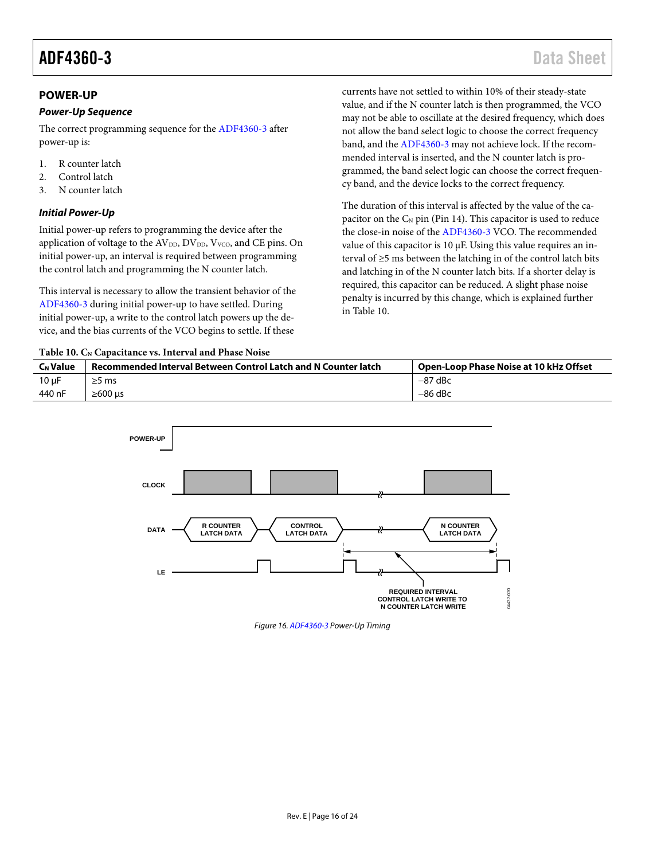#### <span id="page-15-0"></span>**POWER-UP**

#### *Power-Up Sequence*

The correct programming sequence for th[e ADF4360-3](http://www.analog.com/ADF4360-3?doc=ADF4360-3.pdf) after power-up is:

- 1. R counter latch
- 2. Control latch
- 3. N counter latch

#### <span id="page-15-2"></span>*Initial Power-Up*

Initial power-up refers to programming the device after the application of voltage to the  $AV<sub>DD</sub>, DV<sub>DD</sub>, V<sub>VCO</sub>$ , and CE pins. On initial power-up, an interval is required between programming the control latch and programming the N counter latch.

This interval is necessary to allow the transient behavior of the [ADF4360-3](http://www.analog.com/ADF4360-3?doc=ADF4360-3.pdf) during initial power-up to have settled. During initial power-up, a write to the control latch powers up the device, and the bias currents of the VCO begins to settle. If these

<span id="page-15-1"></span>Table 10. C<sub>N</sub> Capacitance vs. Interval and Phase Noise

currents have not settled to within 10% of their steady-state value, and if the N counter latch is then programmed, the VCO may not be able to oscillate at the desired frequency, which does not allow the band select logic to choose the correct frequency band, and the [ADF4360-3](http://www.analog.com/ADF4360-3?doc=ADF4360-3.pdf) may not achieve lock. If the recommended interval is inserted, and the N counter latch is programmed, the band select logic can choose the correct frequency band, and the device locks to the correct frequency.

The duration of this interval is affected by the value of the capacitor on the  $C_N$  pin (Pin 14). This capacitor is used to reduce the close-in noise of th[e ADF4360-3](http://www.analog.com/ADF4360-3?doc=ADF4360-3.pdf) VCO. The recommended value of this capacitor is 10 µF. Using this value requires an interval of ≥5 ms between the latching in of the control latch bits and latching in of the N counter latch bits. If a shorter delay is required, this capacitor can be reduced. A slight phase noise penalty is incurred by this change, which is explained further in [Table 10.](#page-15-1)

| C <sub>N</sub> Value | <b>Recommended Interval Between Control Latch and N Counter latch</b> | Open-Loop Phase Noise at 10 kHz Offset |
|----------------------|-----------------------------------------------------------------------|----------------------------------------|
| $10 \mu F$           | $\geq$ 5 ms                                                           | $-87$ dBc                              |
| 440 nF               | $\geq 600$ us                                                         | $-86$ dBc                              |



*Figure 16[. ADF4360-3](http://www.analog.com/ADF4360-3?doc=ADF4360-3.pdf) Power-Up Timing*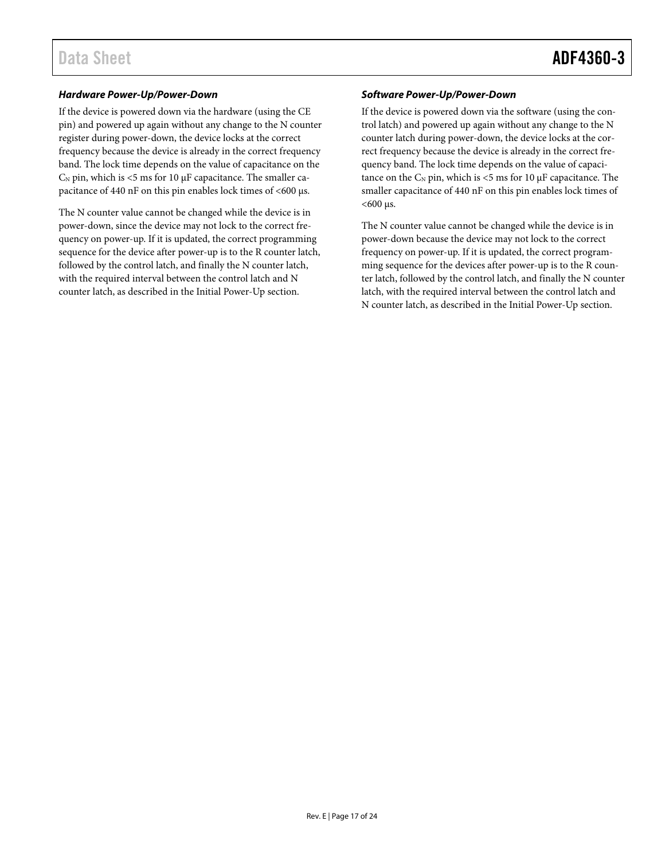#### *Hardware Power-Up/Power-Down*

If the device is powered down via the hardware (using the CE pin) and powered up again without any change to the N counter register during power-down, the device locks at the correct frequency because the device is already in the correct frequency band. The lock time depends on the value of capacitance on the  $C_N$  pin, which is <5 ms for 10  $\mu$ F capacitance. The smaller capacitance of 440 nF on this pin enables lock times of <600  $\mu$ s.

The N counter value cannot be changed while the device is in power-down, since the device may not lock to the correct frequency on power-up. If it is updated, the correct programming sequence for the device after power-up is to the R counter latch, followed by the control latch, and finally the N counter latch, with the required interval between the control latch and N counter latch, as described in th[e Initial Power-Up](#page-15-2) section.

#### *Software Power-Up/Power-Down*

If the device is powered down via the software (using the control latch) and powered up again without any change to the N counter latch during power-down, the device locks at the correct frequency because the device is already in the correct frequency band. The lock time depends on the value of capacitance on the  $C_N$  pin, which is <5 ms for 10  $\mu$ F capacitance. The smaller capacitance of 440 nF on this pin enables lock times of  $<$ 600 µs.

The N counter value cannot be changed while the device is in power-down because the device may not lock to the correct frequency on power-up. If it is updated, the correct programming sequence for the devices after power-up is to the R counter latch, followed by the control latch, and finally the N counter latch, with the required interval between the control latch and N counter latch, as described in the [Initial Power-Up](#page-15-2) section.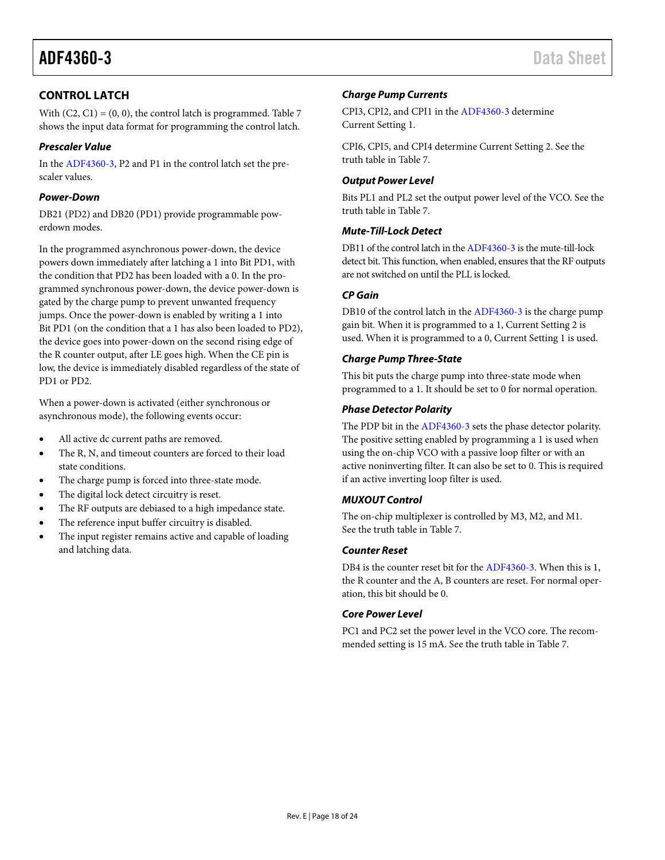### <span id="page-17-0"></span>**CONTROL LATCH**

With  $(C2, C1) = (0, 0)$ , the control latch is programmed[. Table 7](#page-12-0) shows the input data format for programming the control latch.

#### *Prescaler Value*

In th[e ADF4360-3,](http://www.analog.com/ADF4360-3?doc=ADF4360-3.pdf) P2 and P1 in the control latch set the prescaler values.

#### *Power-Down*

DB21 (PD2) and DB20 (PD1) provide programmable powerdown modes.

In the programmed asynchronous power-down, the device powers down immediately after latching a 1 into Bit PD1, with the condition that PD2 has been loaded with a 0. In the programmed synchronous power-down, the device power-down is gated by the charge pump to prevent unwanted frequency jumps. Once the power-down is enabled by writing a 1 into Bit PD1 (on the condition that a 1 has also been loaded to PD2), the device goes into power-down on the second rising edge of the R counter output, after LE goes high. When the CE pin is low, the device is immediately disabled regardless of the state of PD1 or PD2.

When a power-down is activated (either synchronous or asynchronous mode), the following events occur:

- All active dc current paths are removed.
- The R, N, and timeout counters are forced to their load state conditions.
- The charge pump is forced into three-state mode.
- The digital lock detect circuitry is reset.
- The RF outputs are debiased to a high impedance state.
- The reference input buffer circuitry is disabled.
- The input register remains active and capable of loading and latching data.

#### *Charge Pump Currents*

CPI3, CPI2, and CPI1 in th[e ADF4360-3](http://www.analog.com/ADF4360-3?doc=ADF4360-3.pdf) determine Current Setting 1.

CPI6, CPI5, and CPI4 determine Current Setting 2. See the truth table in [Table 7.](#page-12-0)

#### *Output Power Level*

Bits PL1 and PL2 set the output power level of the VCO. See the truth table in [Table 7.](#page-12-0)

#### *Mute-Till-Lock Detect*

DB11 of the control latch in th[e ADF4360-3](http://www.analog.com/ADF4360-3?doc=ADF4360-3.pdf) is the mute-till-lock detect bit. This function, when enabled, ensures that the RF outputs are not switched on until the PLL is locked.

#### *CP Gain*

DB10 of the control latch in th[e ADF4360-3](http://www.analog.com/ADF4360-3?doc=ADF4360-3.pdf) is the charge pump gain bit. When it is programmed to a 1, Current Setting 2 is used. When it is programmed to a 0, Current Setting 1 is used.

#### *Charge Pump Three-State*

This bit puts the charge pump into three-state mode when programmed to a 1. It should be set to 0 for normal operation.

#### *Phase Detector Polarity*

The PDP bit in the [ADF4360-3](http://www.analog.com/ADF4360-3?doc=ADF4360-3.pdf) sets the phase detector polarity. The positive setting enabled by programming a 1 is used when using the on-chip VCO with a passive loop filter or with an active noninverting filter. It can also be set to 0. This is required if an active inverting loop filter is used.

#### *MUXOUT Control*

The on-chip multiplexer is controlled by M3, M2, and M1. See the truth table in [Table 7.](#page-12-0)

#### *Counter Reset*

DB4 is the counter reset bit for th[e ADF4360-3.](http://www.analog.com/ADF4360-3?doc=ADF4360-3.pdf) When this is 1, the R counter and the A, B counters are reset. For normal operation, this bit should be 0.

#### *Core Power Level*

PC1 and PC2 set the power level in the VCO core. The recommended setting is 15 mA. See the truth table in [Table 7.](#page-12-0)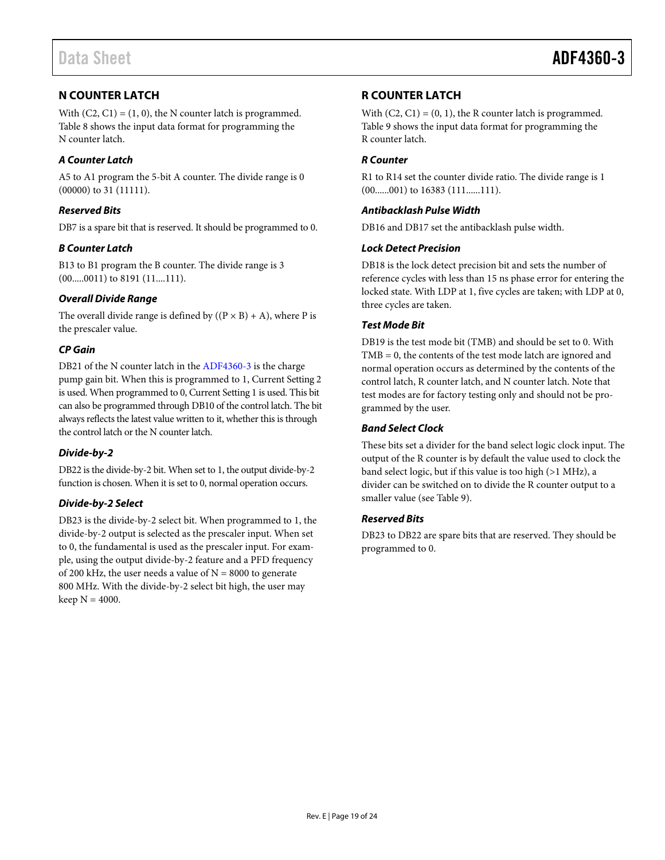### <span id="page-18-0"></span>**N COUNTER LATCH**

With  $(C2, C1) = (1, 0)$ , the N counter latch is programmed. [Table 8](#page-13-0) shows the input data format for programming the N counter latch.

#### *A Counter Latch*

A5 to A1 program the 5-bit A counter. The divide range is 0 (00000) to 31 (11111).

#### *Reserved Bits*

DB7 is a spare bit that is reserved. It should be programmed to 0.

#### *B Counter Latch*

B13 to B1 program the B counter. The divide range is 3 (00.....0011) to 8191 (11....111).

#### *Overall Divide Range*

The overall divide range is defined by  $((P \times B) + A)$ , where P is the prescaler value.

#### *CP Gain*

DB21 of the N counter latch in the [ADF4360-3](http://www.analog.com/ADF4360-3?doc=ADF4360-3.pdf) is the charge pump gain bit. When this is programmed to 1, Current Setting 2 is used. When programmed to 0, Current Setting 1 is used. This bit can also be programmed through DB10 of the control latch. The bit always reflects the latest value written to it, whether this is through the control latch or the N counter latch.

#### *Divide-by-2*

DB22 is the divide-by-2 bit. When set to 1, the output divide-by-2 function is chosen. When it is set to 0, normal operation occurs.

#### *Divide-by-2 Select*

DB23 is the divide-by-2 select bit. When programmed to 1, the divide-by-2 output is selected as the prescaler input. When set to 0, the fundamental is used as the prescaler input. For example, using the output divide-by-2 feature and a PFD frequency of 200 kHz, the user needs a value of  $N = 8000$  to generate 800 MHz. With the divide-by-2 select bit high, the user may keep  $N = 4000$ .

#### <span id="page-18-1"></span>**R COUNTER LATCH**

With  $(C2, C1) = (0, 1)$ , the R counter latch is programmed. [Table 9](#page-14-0) shows the input data format for programming the R counter latch.

#### *R Counter*

R1 to R14 set the counter divide ratio. The divide range is 1 (00......001) to 16383 (111......111).

#### *Antibacklash Pulse Width*

DB16 and DB17 set the antibacklash pulse width.

#### *Lock Detect Precision*

DB18 is the lock detect precision bit and sets the number of reference cycles with less than 15 ns phase error for entering the locked state. With LDP at 1, five cycles are taken; with LDP at 0, three cycles are taken.

#### *Test Mode Bit*

DB19 is the test mode bit (TMB) and should be set to 0. With TMB = 0, the contents of the test mode latch are ignored and normal operation occurs as determined by the contents of the control latch, R counter latch, and N counter latch. Note that test modes are for factory testing only and should not be programmed by the user.

#### *Band Select Clock*

These bits set a divider for the band select logic clock input. The output of the R counter is by default the value used to clock the band select logic, but if this value is too high (>1 MHz), a divider can be switched on to divide the R counter output to a smaller value (se[e Table 9\)](#page-14-0).

#### *Reserved Bits*

DB23 to DB22 are spare bits that are reserved. They should be programmed to 0.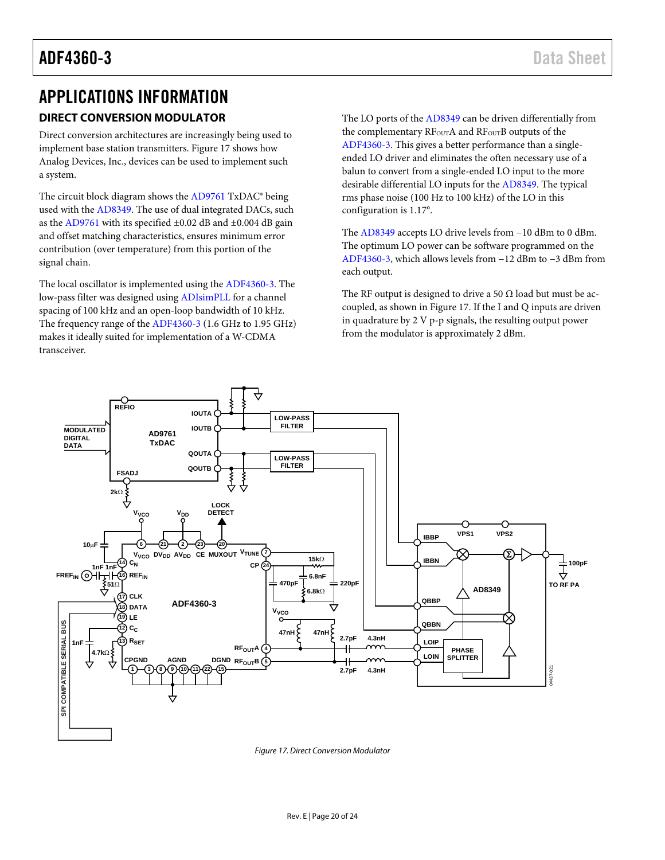### <span id="page-19-1"></span><span id="page-19-0"></span>APPLICATIONS INFORMATION **DIRECT CONVERSION MODULATOR**

Direct conversion architectures are increasingly being used to implement base station transmitters[. Figure 17](#page-19-2) shows how Analog Devices, Inc., devices can be used to implement such a system.

The circuit block diagram shows the [AD9761](http://www.analog.com/AD9761?doc=ADF4360-3.pdf) TxDAC® being used with the [AD8349.](http://www.analog.com/AD8349?doc=ADF4360-3.pdf) The use of dual integrated DACs, such as the [AD9761](http://www.analog.com/AD9761?doc=ADF4360-3.pdf) with its specified  $\pm 0.02$  dB and  $\pm 0.004$  dB gain and offset matching characteristics, ensures minimum error contribution (over temperature) from this portion of the signal chain.

The local oscillator is implemented using the [ADF4360-3.](http://www.analog.com/ADF4360-3?doc=ADF4360-3.pdf) The low-pass filter was designed usin[g ADIsimPLL](http://www.analog.com/ADIsimPLL?doc=ADF4360-3.pdf) for a channel spacing of 100 kHz and an open-loop bandwidth of 10 kHz. The frequency range of th[e ADF4360-3](http://www.analog.com/ADF4360-3?doc=ADF4360-3.pdf) (1.6 GHz to 1.95 GHz) makes it ideally suited for implementation of a W-CDMA transceiver.

The LO ports of the [AD8349](http://www.analog.com/AD8349?doc=ADF4360-3.pdf) can be driven differentially from the complementary RF<sub>OUT</sub>A and RF<sub>OUT</sub>B outputs of the [ADF4360-3.](http://www.analog.com/ADF4360-3?doc=ADF4360-3.pdf) This gives a better performance than a singleended LO driver and eliminates the often necessary use of a balun to convert from a single-ended LO input to the more desirable differential LO inputs for th[e AD8349.](http://www.analog.com/AD8349?doc=ADF4360-3.pdf) The typical rms phase noise (100 Hz to 100 kHz) of the LO in this configuration is 1.17°.

The [AD8349](http://www.analog.com/AD8349?doc=ADF4360-3.pdf) accepts LO drive levels from −10 dBm to 0 dBm. The optimum LO power can be software programmed on the [ADF4360-3,](http://www.analog.com/ADF4360-3?doc=ADF4360-3.pdf) which allows levels from −12 dBm to −3 dBm from each output.

The RF output is designed to drive a 50  $\Omega$  load but must be accoupled, as shown in [Figure 17.](#page-19-2) If the I and Q inputs are driven in quadrature by 2 V p-p signals, the resulting output power from the modulator is approximately 2 dBm.



<span id="page-19-2"></span>*Figure 17. Direct Conversion Modulator*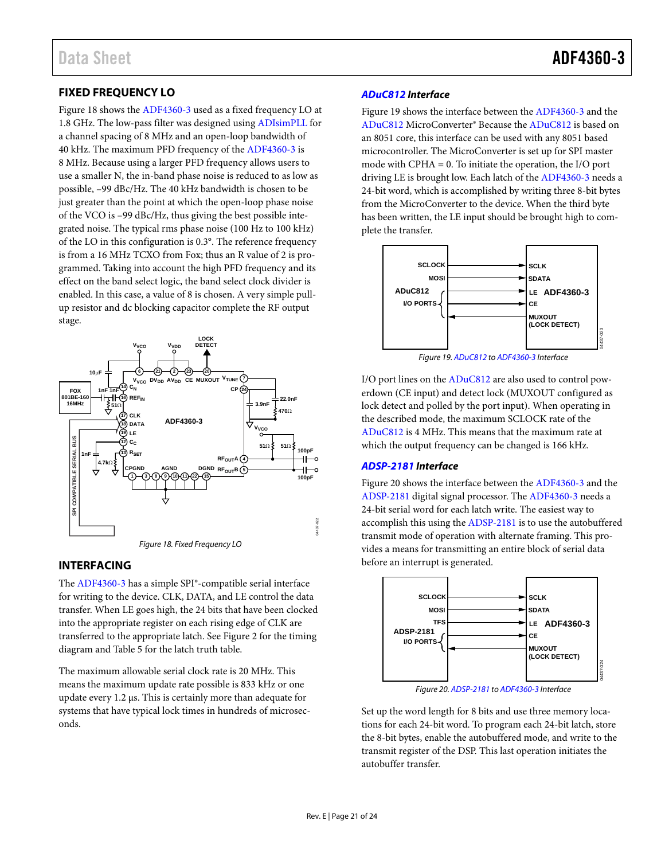#### <span id="page-20-0"></span>**FIXED FREQUENCY LO**

[Figure 18 s](#page-20-2)hows th[e ADF4360-3](http://www.analog.com/ADF4360-3?doc=ADF4360-3.pdf) used as a fixed frequency LO at 1.8 GHz. The low-pass filter was designed usin[g ADIsimPLL](http://www.analog.com/ADIsimPLL?doc=ADF4360-3.pdf) for a channel spacing of 8 MHz and an open-loop bandwidth of 40 kHz. The maximum PFD frequency of th[e ADF4360-3](http://www.analog.com/ADF4360-3?doc=ADF4360-3.pdf) is 8 MHz. Because using a larger PFD frequency allows users to use a smaller N, the in-band phase noise is reduced to as low as possible, –99 dBc/Hz. The 40 kHz bandwidth is chosen to be just greater than the point at which the open-loop phase noise of the VCO is –99 dBc/Hz, thus giving the best possible integrated noise. The typical rms phase noise (100 Hz to 100 kHz) of the LO in this configuration is 0.3°. The reference frequency is from a 16 MHz TCXO from Fox; thus an R value of 2 is programmed. Taking into account the high PFD frequency and its effect on the band select logic, the band select clock divider is enabled. In this case, a value of 8 is chosen. A very simple pullup resistor and dc blocking capacitor complete the RF output stage.



#### <span id="page-20-2"></span><span id="page-20-1"></span>**INTERFACING**

The [ADF4360-3 h](http://www.analog.com/ADF4360-3?doc=ADF4360-3.pdf)as a simple SPI®-compatible serial interface for writing to the device. CLK, DATA, and LE control the data transfer. When LE goes high, the 24 bits that have been clocked into the appropriate register on each rising edge of CLK are transferred to the appropriate latch. Se[e Figure 2 f](#page-4-1)or the timing diagram and [Table 5](#page-9-4) for the latch truth table.

The maximum allowable serial clock rate is 20 MHz. This means the maximum update rate possible is 833 kHz or one update every 1.2 μs. This is certainly more than adequate for systems that have typical lock times in hundreds of microseconds.

#### **[ADuC812 I](http://www.analog.com/ADuC812?doc=ADF4360-3.pdf)nterface**

[Figure 19 s](#page-20-3)hows the interface between th[e ADF4360-3](http://www.analog.com/ADF4360-3?doc=ADF4360-3.pdf) and the [ADuC812 M](http://www.analog.com/ADuC812?doc=ADF4360-3.pdf)icroConverter® Because th[e ADuC812](http://www.analog.com/ADuC812?doc=ADF4360-3.pdf) is based on an 8051 core, this interface can be used with any 8051 based microcontroller. The MicroConverter is set up for SPI master mode with CPHA = 0. To initiate the operation, the I/O port driving LE is brought low. Each latch of th[e ADF4360-3](http://www.analog.com/ADF4360-3?doc=ADF4360-3.pdf) needs a 24-bit word, which is accomplished by writing three 8-bit bytes from the MicroConverter to the device. When the third byte has been written, the LE input should be brought high to complete the transfer.



Figure 19[. ADuC812 t](http://www.analog.com/ADuC812?doc=ADF4360-3.pdf)[o ADF4360-3 I](http://www.analog.com/ADF4360-3?doc=ADF4360-3.pdf)nterface

<span id="page-20-3"></span>I/O port lines on the [ADuC812 a](http://www.analog.com/ADuC812?doc=ADF4360-3.pdf)re also used to control powerdown (CE input) and detect lock (MUXOUT configured as lock detect and polled by the port input). When operating in the described mode, the maximum SCLOCK rate of the [ADuC812 i](http://www.analog.com/ADuC812?doc=ADF4360-3.pdf)s 4 MHz. This means that the maximum rate at which the output frequency can be changed is 166 kHz.

#### **[ADSP-2181 I](http://www.analog.com/ADSP-2181?doc=ADF4360-3.pdf)nterface**

[Figure 20 s](#page-20-4)hows the interface between th[e ADF4360-3](http://www.analog.com/ADF4360-3?doc=ADF4360-3.pdf) and the [ADSP-2181 d](http://www.analog.com/ADSP-2181?doc=ADF4360-3.pdf)igital signal processor. Th[e ADF4360-3](http://www.analog.com/ADF4360-3?doc=ADF4360-3.pdf) needs a 24-bit serial word for each latch write. The easiest way to accomplish this using the [ADSP-2181 i](http://www.analog.com/ADSP-2181?doc=ADF4360-3.pdf)s to use the autobuffered transmit mode of operation with alternate framing. This provides a means for transmitting an entire block of serial data before an interrupt is generated.



Figure 20[. ADSP-2181 t](http://www.analog.com/ADSP-2181?doc=ADF4360-3.pdf)[o ADF4360-3 I](http://www.analog.com/ADF4360-3?doc=ADF4360-3.pdf)nterface

<span id="page-20-4"></span>Set up the word length for 8 bits and use three memory locations for each 24-bit word. To program each 24-bit latch, store the 8-bit bytes, enable the autobuffered mode, and write to the transmit register of the DSP. This last operation initiates the autobuffer transfer.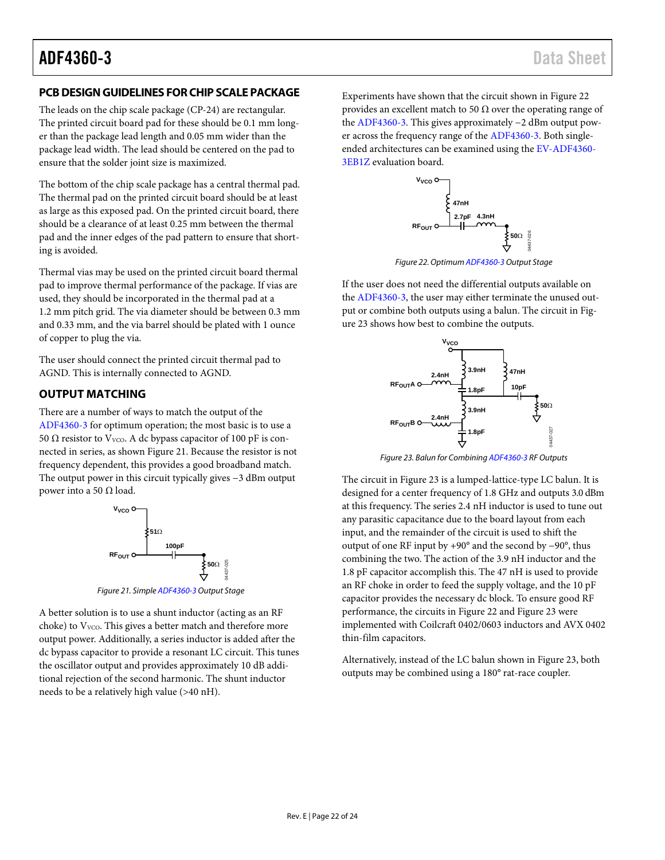#### <span id="page-21-0"></span>**PCB DESIGN GUIDELINES FOR CHIP SCALE PACKAGE**

The leads on the chip scale package (CP-24) are rectangular. The printed circuit board pad for these should be 0.1 mm longer than the package lead length and 0.05 mm wider than the package lead width. The lead should be centered on the pad to ensure that the solder joint size is maximized.

The bottom of the chip scale package has a central thermal pad. The thermal pad on the printed circuit board should be at least as large as this exposed pad. On the printed circuit board, there should be a clearance of at least 0.25 mm between the thermal pad and the inner edges of the pad pattern to ensure that shorting is avoided.

Thermal vias may be used on the printed circuit board thermal pad to improve thermal performance of the package. If vias are used, they should be incorporated in the thermal pad at a 1.2 mm pitch grid. The via diameter should be between 0.3 mm and 0.33 mm, and the via barrel should be plated with 1 ounce of copper to plug the via.

The user should connect the printed circuit thermal pad to AGND. This is internally connected to AGND.

#### <span id="page-21-1"></span>**OUTPUT MATCHING**

There are a number of ways to match the output of the [ADF4360-3](http://www.analog.com/ADF4360-3?doc=ADF4360-3.pdf) for optimum operation; the most basic is to use a 50 Ω resistor to V<sub>VCO</sub>. A dc bypass capacitor of 100 pF is connected in series, as show[n Figure 21.](#page-21-2) Because the resistor is not frequency dependent, this provides a good broadband match. The output power in this circuit typically gives −3 dBm output power into a 50  $Ω$  load.



*Figure 21. Simpl[e ADF4360-3](http://www.analog.com/ADF4360-3?doc=ADF4360-3.pdf) Output Stage*

<span id="page-21-2"></span>A better solution is to use a shunt inductor (acting as an RF choke) to V<sub>VCO</sub>. This gives a better match and therefore more output power. Additionally, a series inductor is added after the dc bypass capacitor to provide a resonant LC circuit. This tunes the oscillator output and provides approximately 10 dB additional rejection of the second harmonic. The shunt inductor needs to be a relatively high value (>40 nH).

Experiments have shown that the circuit shown in [Figure 22](#page-21-3) provides an excellent match to 50  $\Omega$  over the operating range of the [ADF4360-3.](http://www.analog.com/ADF4360-3?doc=ADF4360-3.pdf) This gives approximately −2 dBm output power across the frequency range of th[e ADF4360-3.](http://www.analog.com/ADF4360-3?doc=ADF4360-3.pdf) Both singleended architectures can be examined using th[e EV-ADF4360-](http://www.analog.com/ADF4360-3?doc=ADF4360-3.pdf) [3EB1Z](http://www.analog.com/ADF4360-3?doc=ADF4360-3.pdf) evaluation board.



*Figure 22. Optimu[m ADF4360-3](http://www.analog.com/ADF4360-3?doc=ADF4360-3.pdf) Output Stage* 

<span id="page-21-3"></span>If the user does not need the differential outputs available on the [ADF4360-3,](http://www.analog.com/ADF4360-3?doc=ADF4360-3.pdf) the user may either terminate the unused output or combine both outputs using a balun. The circuit i[n Fig](#page-21-4)[ure 23](#page-21-4) shows how best to combine the outputs.



*Figure 23. Balun for Combinin[g ADF4360-3](http://www.analog.com/ADF4360-3?doc=ADF4360-3.pdf) RF Outputs*

<span id="page-21-4"></span>The circuit i[n Figure 23](#page-21-4) is a lumped-lattice-type LC balun. It is designed for a center frequency of 1.8 GHz and outputs 3.0 dBm at this frequency. The series 2.4 nH inductor is used to tune out any parasitic capacitance due to the board layout from each input, and the remainder of the circuit is used to shift the output of one RF input by +90° and the second by −90°, thus combining the two. The action of the 3.9 nH inductor and the 1.8 pF capacitor accomplish this. The 47 nH is used to provide an RF choke in order to feed the supply voltage, and the 10 pF capacitor provides the necessary dc block. To ensure good RF performance, the circuits in [Figure 22](#page-21-3) an[d Figure 23](#page-21-4) were implemented with Coilcraft 0402/0603 inductors and AVX 0402 thin-film capacitors.

Alternatively, instead of the LC balun shown in [Figure 23,](#page-21-4) both outputs may be combined using a 180° rat-race coupler.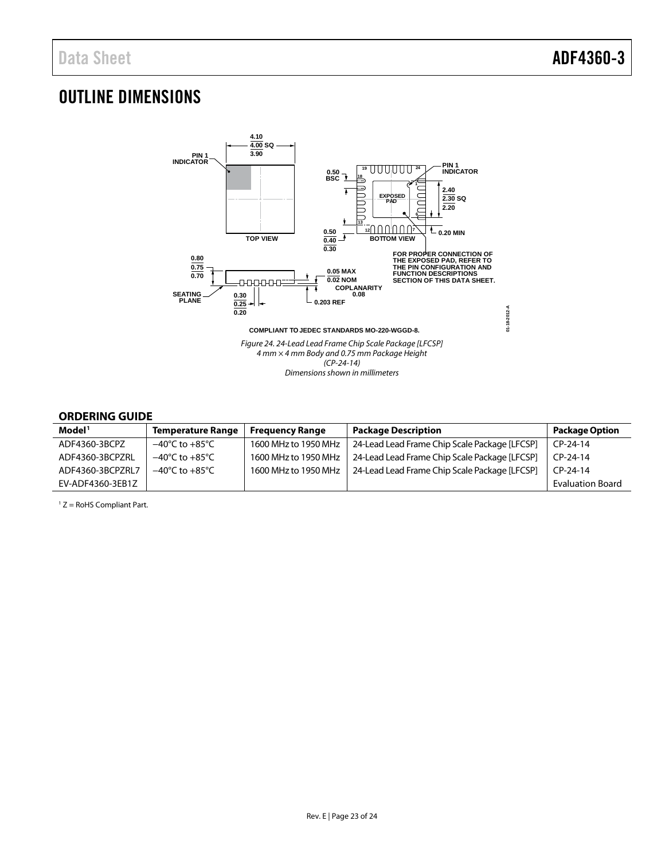### <span id="page-22-0"></span>OUTLINE DIMENSIONS



#### <span id="page-22-1"></span>**ORDERING GUIDE**

| Model <sup>1</sup> | <b>Temperature Range</b>           | <b>Frequency Range</b> | <b>Package Description</b>                    | <b>Package Option</b>   |
|--------------------|------------------------------------|------------------------|-----------------------------------------------|-------------------------|
| ADF4360-3BCPZ      | $-40^{\circ}$ C to $+85^{\circ}$ C | 1600 MHz to 1950 MHz   | 24-Lead Lead Frame Chip Scale Package [LFCSP] | $CP-24-14$              |
| ADF4360-3BCPZRL    | $-40^{\circ}$ C to $+85^{\circ}$ C | 1600 MHz to 1950 MHz   | 24-Lead Lead Frame Chip Scale Package [LFCSP] | $CP-24-14$              |
| ADF4360-3BCPZRL7   | $-40^{\circ}$ C to $+85^{\circ}$ C | 1600 MHz to 1950 MHz   | 24-Lead Lead Frame Chip Scale Package [LFCSP] | CP-24-14                |
| EV-ADF4360-3EB1Z   |                                    |                        |                                               | <b>Evaluation Board</b> |

 $1 Z =$  RoHS Compliant Part.